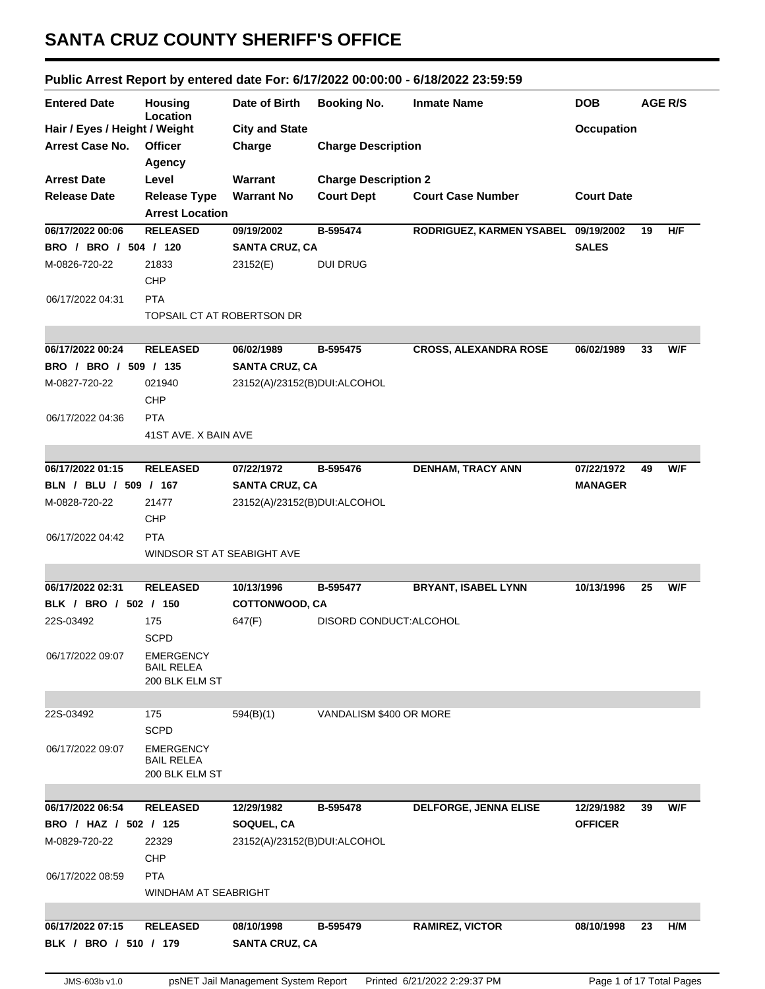## **SANTA CRUZ COUNTY SHERIFF'S OFFICE**

## **Public Arrest Report by entered date For: 6/17/2022 00:00:00 - 6/18/2022 23:59:59**

| <b>Entered Date</b>           | <b>Housing</b><br>Location | Date of Birth                | <b>Booking No.</b>          | <b>Inmate Name</b>                  | <b>DOB</b>        |    | <b>AGE R/S</b> |
|-------------------------------|----------------------------|------------------------------|-----------------------------|-------------------------------------|-------------------|----|----------------|
| Hair / Eyes / Height / Weight |                            | <b>City and State</b>        |                             |                                     | <b>Occupation</b> |    |                |
| <b>Arrest Case No.</b>        | <b>Officer</b>             | Charge                       | <b>Charge Description</b>   |                                     |                   |    |                |
|                               | <b>Agency</b>              |                              |                             |                                     |                   |    |                |
| <b>Arrest Date</b>            | Level                      | Warrant                      | <b>Charge Description 2</b> |                                     |                   |    |                |
| <b>Release Date</b>           | <b>Release Type</b>        | <b>Warrant No</b>            | <b>Court Dept</b>           | <b>Court Case Number</b>            | <b>Court Date</b> |    |                |
|                               | <b>Arrest Location</b>     |                              |                             |                                     |                   |    |                |
| 06/17/2022 00:06              | <b>RELEASED</b>            | 09/19/2002                   | B-595474                    | RODRIGUEZ, KARMEN YSABEL 09/19/2002 |                   | 19 | H/F            |
| BRO / BRO / 504 / 120         |                            | <b>SANTA CRUZ, CA</b>        |                             |                                     | <b>SALES</b>      |    |                |
| M-0826-720-22                 | 21833                      | 23152(E)                     | <b>DUI DRUG</b>             |                                     |                   |    |                |
|                               | CHP                        |                              |                             |                                     |                   |    |                |
| 06/17/2022 04:31              | <b>PTA</b>                 |                              |                             |                                     |                   |    |                |
|                               | TOPSAIL CT AT ROBERTSON DR |                              |                             |                                     |                   |    |                |
|                               |                            |                              |                             |                                     |                   |    |                |
| 06/17/2022 00:24              | <b>RELEASED</b>            | 06/02/1989                   | B-595475                    | <b>CROSS, ALEXANDRA ROSE</b>        | 06/02/1989        | 33 | W/F            |
| BRO / BRO / 509 / 135         |                            | <b>SANTA CRUZ, CA</b>        |                             |                                     |                   |    |                |
| M-0827-720-22                 | 021940                     | 23152(A)/23152(B)DUI:ALCOHOL |                             |                                     |                   |    |                |
|                               | <b>CHP</b>                 |                              |                             |                                     |                   |    |                |
| 06/17/2022 04:36              | <b>PTA</b>                 |                              |                             |                                     |                   |    |                |
|                               | 41ST AVE. X BAIN AVE       |                              |                             |                                     |                   |    |                |
|                               |                            |                              |                             |                                     |                   |    |                |
| 06/17/2022 01:15              | <b>RELEASED</b>            | 07/22/1972                   | B-595476                    | <b>DENHAM, TRACY ANN</b>            | 07/22/1972        | 49 | W/F            |
| BLN / BLU / 509 / 167         |                            | <b>SANTA CRUZ, CA</b>        |                             |                                     | <b>MANAGER</b>    |    |                |
| M-0828-720-22                 | 21477                      | 23152(A)/23152(B)DUI:ALCOHOL |                             |                                     |                   |    |                |
|                               | <b>CHP</b>                 |                              |                             |                                     |                   |    |                |
| 06/17/2022 04:42              | <b>PTA</b>                 |                              |                             |                                     |                   |    |                |
|                               | WINDSOR ST AT SEABIGHT AVE |                              |                             |                                     |                   |    |                |
|                               |                            |                              |                             |                                     |                   |    |                |
| 06/17/2022 02:31              | <b>RELEASED</b>            | 10/13/1996                   | B-595477                    | <b>BRYANT, ISABEL LYNN</b>          | 10/13/1996        | 25 | W/F            |
| BLK / BRO / 502 / 150         |                            | COTTONWOOD, CA               |                             |                                     |                   |    |                |
| 22S-03492                     | 175                        | 647(F)                       | DISORD CONDUCT: ALCOHOL     |                                     |                   |    |                |
|                               | <b>SCPD</b>                |                              |                             |                                     |                   |    |                |
| 06/17/2022 09:07              | <b>EMERGENCY</b>           |                              |                             |                                     |                   |    |                |
|                               | <b>BAIL RELEA</b>          |                              |                             |                                     |                   |    |                |
|                               | 200 BLK ELM ST             |                              |                             |                                     |                   |    |                |
|                               |                            |                              |                             |                                     |                   |    |                |
| 22S-03492                     | 175                        | 594(B)(1)                    | VANDALISM \$400 OR MORE     |                                     |                   |    |                |
|                               | <b>SCPD</b>                |                              |                             |                                     |                   |    |                |
| 06/17/2022 09:07              | <b>EMERGENCY</b>           |                              |                             |                                     |                   |    |                |
|                               | <b>BAIL RELEA</b>          |                              |                             |                                     |                   |    |                |
|                               | 200 BLK ELM ST             |                              |                             |                                     |                   |    |                |
|                               |                            |                              |                             |                                     |                   |    |                |
| 06/17/2022 06:54              | <b>RELEASED</b>            | 12/29/1982                   | B-595478                    | DELFORGE, JENNA ELISE               | 12/29/1982        | 39 | W/F            |
| BRO / HAZ / 502 / 125         |                            | SOQUEL, CA                   |                             |                                     | <b>OFFICER</b>    |    |                |
| M-0829-720-22                 | 22329                      | 23152(A)/23152(B)DUI:ALCOHOL |                             |                                     |                   |    |                |
|                               | <b>CHP</b>                 |                              |                             |                                     |                   |    |                |
| 06/17/2022 08:59              | <b>PTA</b>                 |                              |                             |                                     |                   |    |                |
|                               | WINDHAM AT SEABRIGHT       |                              |                             |                                     |                   |    |                |
|                               |                            |                              |                             |                                     |                   |    |                |
| 06/17/2022 07:15              | <b>RELEASED</b>            | 08/10/1998                   | B-595479                    | <b>RAMIREZ, VICTOR</b>              | 08/10/1998        | 23 | H/M            |
| BLK / BRO / 510 / 179         |                            | <b>SANTA CRUZ, CA</b>        |                             |                                     |                   |    |                |
|                               |                            |                              |                             |                                     |                   |    |                |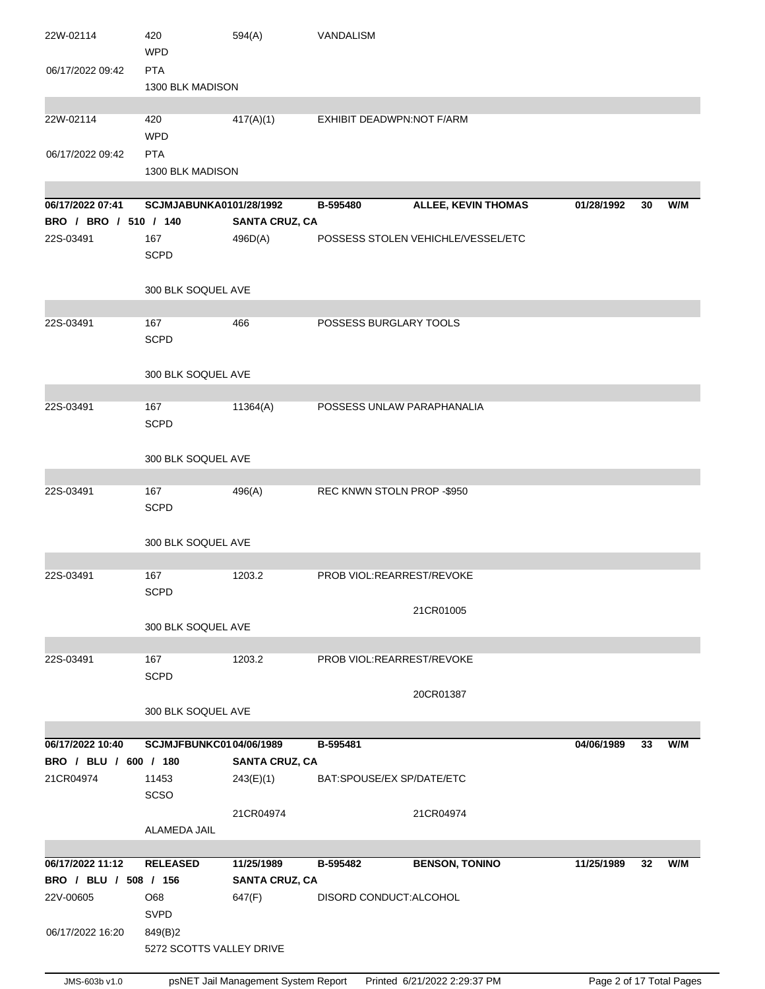| 22W-02114             | 420<br><b>WPD</b>              | 594(A)                | VANDALISM                  |                                    |            |    |     |
|-----------------------|--------------------------------|-----------------------|----------------------------|------------------------------------|------------|----|-----|
| 06/17/2022 09:42      | <b>PTA</b><br>1300 BLK MADISON |                       |                            |                                    |            |    |     |
| 22W-02114             | 420<br><b>WPD</b>              | 417(A)(1)             | EXHIBIT DEADWPN:NOT F/ARM  |                                    |            |    |     |
| 06/17/2022 09:42      | <b>PTA</b><br>1300 BLK MADISON |                       |                            |                                    |            |    |     |
| 06/17/2022 07:41      | SCJMJABUNKA0101/28/1992        |                       | B-595480                   | <b>ALLEE, KEVIN THOMAS</b>         | 01/28/1992 | 30 | W/M |
| BRO / BRO / 510 / 140 |                                | <b>SANTA CRUZ, CA</b> |                            |                                    |            |    |     |
| 22S-03491             | 167<br><b>SCPD</b>             | 496D(A)               |                            | POSSESS STOLEN VEHICHLE/VESSEL/ETC |            |    |     |
|                       | 300 BLK SOQUEL AVE             |                       |                            |                                    |            |    |     |
| 22S-03491             | 167                            | 466                   | POSSESS BURGLARY TOOLS     |                                    |            |    |     |
|                       | <b>SCPD</b>                    |                       |                            |                                    |            |    |     |
|                       | 300 BLK SOQUEL AVE             |                       |                            |                                    |            |    |     |
| 22S-03491             | 167<br><b>SCPD</b>             | 11364(A)              | POSSESS UNLAW PARAPHANALIA |                                    |            |    |     |
|                       | 300 BLK SOQUEL AVE             |                       |                            |                                    |            |    |     |
| 22S-03491             | 167                            | 496(A)                | REC KNWN STOLN PROP -\$950 |                                    |            |    |     |
|                       | <b>SCPD</b>                    |                       |                            |                                    |            |    |     |
|                       | 300 BLK SOQUEL AVE             |                       |                            |                                    |            |    |     |
| 22S-03491             | 167                            | 1203.2                | PROB VIOL:REARREST/REVOKE  |                                    |            |    |     |
|                       | <b>SCPD</b>                    |                       |                            |                                    |            |    |     |
|                       |                                |                       |                            | 21CR01005                          |            |    |     |
|                       | 300 BLK SOQUEL AVE             |                       |                            |                                    |            |    |     |
| 22S-03491             | 167                            | 1203.2                | PROB VIOL:REARREST/REVOKE  |                                    |            |    |     |
|                       | <b>SCPD</b>                    |                       |                            |                                    |            |    |     |
|                       | 300 BLK SOQUEL AVE             |                       |                            | 20CR01387                          |            |    |     |
|                       |                                |                       |                            |                                    |            |    |     |
| 06/17/2022 10:40      | <b>SCJMJFBUNKC0104/06/1989</b> |                       | B-595481                   |                                    | 04/06/1989 | 33 | W/M |
| BRO / BLU / 600 / 180 |                                | <b>SANTA CRUZ, CA</b> |                            |                                    |            |    |     |
| 21CR04974             | 11453<br><b>SCSO</b>           | 243(E)(1)             | BAT:SPOUSE/EX SP/DATE/ETC  |                                    |            |    |     |
|                       | ALAMEDA JAIL                   | 21CR04974             |                            | 21CR04974                          |            |    |     |
|                       |                                |                       |                            |                                    |            |    |     |
| 06/17/2022 11:12      | <b>RELEASED</b>                | 11/25/1989            | B-595482                   | <b>BENSON, TONINO</b>              | 11/25/1989 | 32 | W/M |
| BRO / BLU / 508 / 156 |                                | <b>SANTA CRUZ, CA</b> |                            |                                    |            |    |     |
| 22V-00605             | O68<br>SVPD                    | 647(F)                | DISORD CONDUCT: ALCOHOL    |                                    |            |    |     |
| 06/17/2022 16:20      | 849(B)2                        |                       |                            |                                    |            |    |     |
|                       | 5272 SCOTTS VALLEY DRIVE       |                       |                            |                                    |            |    |     |
|                       |                                |                       |                            |                                    |            |    |     |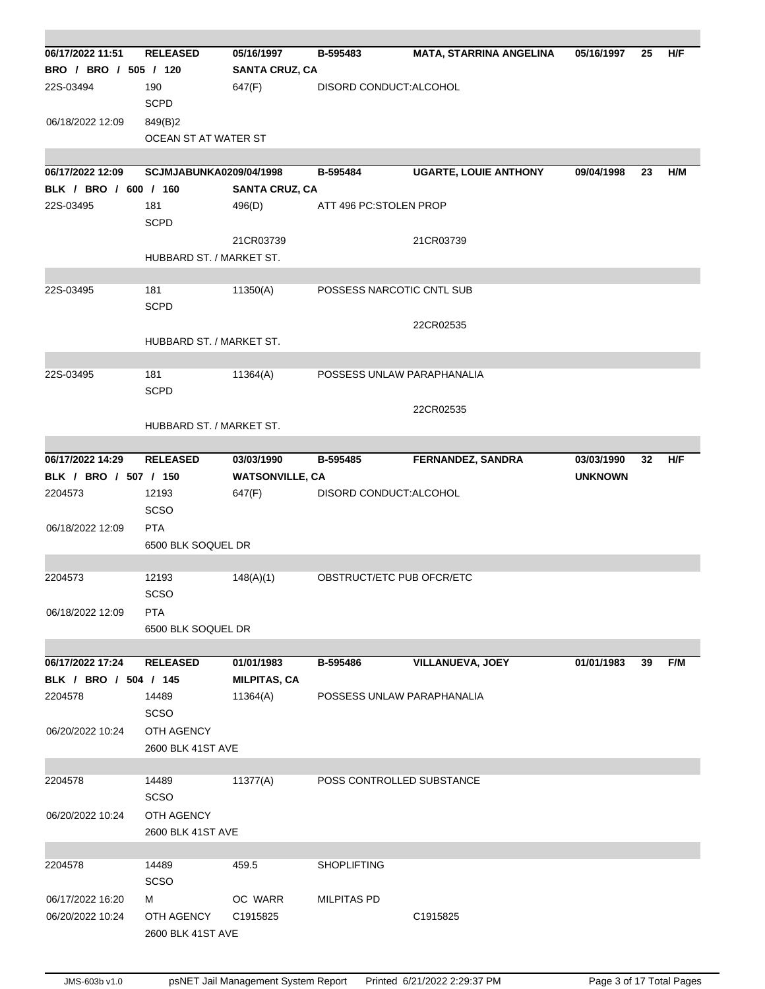| 06/17/2022 11:51      | <b>RELEASED</b>          | 05/16/1997             | B-595483                   | <b>MATA, STARRINA ANGELINA</b> | 05/16/1997     | 25 | H/F |
|-----------------------|--------------------------|------------------------|----------------------------|--------------------------------|----------------|----|-----|
| BRO / BRO / 505 / 120 |                          | <b>SANTA CRUZ, CA</b>  |                            |                                |                |    |     |
|                       |                          |                        |                            |                                |                |    |     |
| 22S-03494             | 190                      | 647(F)                 | DISORD CONDUCT: ALCOHOL    |                                |                |    |     |
|                       | <b>SCPD</b>              |                        |                            |                                |                |    |     |
| 06/18/2022 12:09      | 849(B)2                  |                        |                            |                                |                |    |     |
|                       | OCEAN ST AT WATER ST     |                        |                            |                                |                |    |     |
|                       |                          |                        |                            |                                |                |    |     |
| 06/17/2022 12:09      | SCJMJABUNKA0209/04/1998  |                        | B-595484                   | <b>UGARTE, LOUIE ANTHONY</b>   | 09/04/1998     | 23 | H/M |
| BLK / BRO / 600 / 160 |                          | <b>SANTA CRUZ, CA</b>  |                            |                                |                |    |     |
| 22S-03495             | 181                      | 496(D)                 | ATT 496 PC:STOLEN PROP     |                                |                |    |     |
|                       | <b>SCPD</b>              |                        |                            |                                |                |    |     |
|                       |                          | 21CR03739              |                            | 21CR03739                      |                |    |     |
|                       | HUBBARD ST. / MARKET ST. |                        |                            |                                |                |    |     |
|                       |                          |                        |                            |                                |                |    |     |
| 22S-03495             | 181                      | 11350(A)               | POSSESS NARCOTIC CNTL SUB  |                                |                |    |     |
|                       | <b>SCPD</b>              |                        |                            |                                |                |    |     |
|                       |                          |                        |                            | 22CR02535                      |                |    |     |
|                       | HUBBARD ST. / MARKET ST. |                        |                            |                                |                |    |     |
|                       |                          |                        |                            |                                |                |    |     |
| 22S-03495             | 181                      | 11364(A)               | POSSESS UNLAW PARAPHANALIA |                                |                |    |     |
|                       | <b>SCPD</b>              |                        |                            |                                |                |    |     |
|                       |                          |                        |                            | 22CR02535                      |                |    |     |
|                       | HUBBARD ST. / MARKET ST. |                        |                            |                                |                |    |     |
|                       |                          |                        |                            |                                |                |    |     |
| 06/17/2022 14:29      | <b>RELEASED</b>          | 03/03/1990             | B-595485                   | <b>FERNANDEZ, SANDRA</b>       | 03/03/1990     | 32 | H/F |
| BLK / BRO / 507 / 150 |                          | <b>WATSONVILLE, CA</b> |                            |                                | <b>UNKNOWN</b> |    |     |
|                       |                          |                        |                            |                                |                |    |     |
| 2204573               | 12193                    | 647(F)                 | DISORD CONDUCT: ALCOHOL    |                                |                |    |     |
|                       | SCSO                     |                        |                            |                                |                |    |     |
| 06/18/2022 12:09      | <b>PTA</b>               |                        |                            |                                |                |    |     |
|                       | 6500 BLK SOQUEL DR       |                        |                            |                                |                |    |     |
|                       |                          |                        |                            |                                |                |    |     |
| 2204573               | 12193                    | 148(A)(1)              | OBSTRUCT/ETC PUB OFCR/ETC  |                                |                |    |     |
|                       | <b>SCSO</b>              |                        |                            |                                |                |    |     |
| 06/18/2022 12:09      | <b>PTA</b>               |                        |                            |                                |                |    |     |
|                       | 6500 BLK SOQUEL DR       |                        |                            |                                |                |    |     |
|                       |                          |                        |                            |                                |                |    |     |
| 06/17/2022 17:24      | <b>RELEASED</b>          | 01/01/1983             | B-595486                   | <b>VILLANUEVA, JOEY</b>        | 01/01/1983     | 39 | F/M |
| BLK / BRO / 504 / 145 |                          | <b>MILPITAS, CA</b>    |                            |                                |                |    |     |
| 2204578               | 14489                    | 11364(A)               | POSSESS UNLAW PARAPHANALIA |                                |                |    |     |
|                       | <b>SCSO</b>              |                        |                            |                                |                |    |     |
| 06/20/2022 10:24      | OTH AGENCY               |                        |                            |                                |                |    |     |
|                       | 2600 BLK 41ST AVE        |                        |                            |                                |                |    |     |
|                       |                          |                        |                            |                                |                |    |     |
| 2204578               | 14489                    | 11377(A)               | POSS CONTROLLED SUBSTANCE  |                                |                |    |     |
|                       | <b>SCSO</b>              |                        |                            |                                |                |    |     |
| 06/20/2022 10:24      | OTH AGENCY               |                        |                            |                                |                |    |     |
|                       |                          |                        |                            |                                |                |    |     |
|                       | 2600 BLK 41ST AVE        |                        |                            |                                |                |    |     |
|                       |                          |                        |                            |                                |                |    |     |
| 2204578               | 14489                    | 459.5                  | <b>SHOPLIFTING</b>         |                                |                |    |     |
|                       | <b>SCSO</b>              |                        |                            |                                |                |    |     |
| 06/17/2022 16:20      | м                        | OC WARR                | <b>MILPITAS PD</b>         |                                |                |    |     |
| 06/20/2022 10:24      | OTH AGENCY               | C1915825               |                            | C1915825                       |                |    |     |
|                       | 2600 BLK 41ST AVE        |                        |                            |                                |                |    |     |
|                       |                          |                        |                            |                                |                |    |     |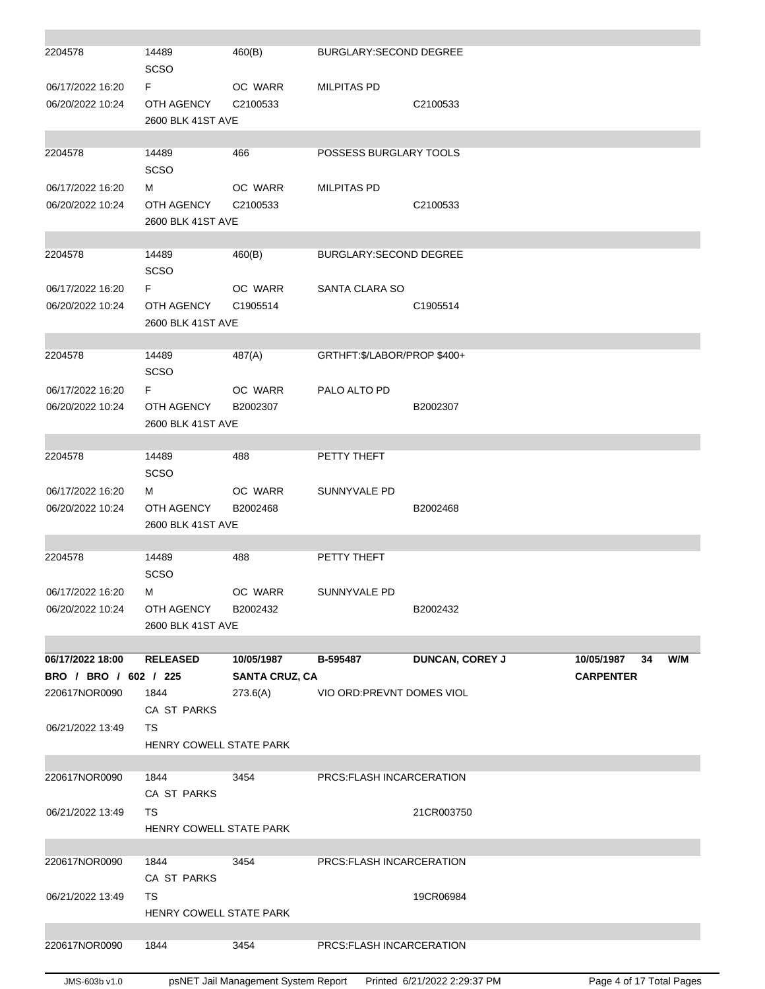| 2204578               | 14489<br>SCSO                  | 460(B)                              | BURGLARY: SECOND DEGREE      |                        |                                      |     |
|-----------------------|--------------------------------|-------------------------------------|------------------------------|------------------------|--------------------------------------|-----|
| 06/17/2022 16:20      | F.                             | OC WARR                             | <b>MILPITAS PD</b>           |                        |                                      |     |
| 06/20/2022 10:24      | OTH AGENCY                     | C2100533                            |                              | C2100533               |                                      |     |
|                       | 2600 BLK 41ST AVE              |                                     |                              |                        |                                      |     |
|                       |                                |                                     |                              |                        |                                      |     |
| 2204578               | 14489                          | 466                                 | POSSESS BURGLARY TOOLS       |                        |                                      |     |
|                       | <b>SCSO</b>                    |                                     |                              |                        |                                      |     |
| 06/17/2022 16:20      | м                              | OC WARR                             | <b>MILPITAS PD</b>           |                        |                                      |     |
| 06/20/2022 10:24      | OTH AGENCY                     | C2100533                            |                              | C2100533               |                                      |     |
|                       | 2600 BLK 41ST AVE              |                                     |                              |                        |                                      |     |
| 2204578               | 14489                          | 460(B)                              | BURGLARY: SECOND DEGREE      |                        |                                      |     |
|                       | SCSO                           |                                     |                              |                        |                                      |     |
| 06/17/2022 16:20      | F.                             | OC WARR                             | SANTA CLARA SO               |                        |                                      |     |
| 06/20/2022 10:24      | OTH AGENCY                     | C1905514                            |                              | C1905514               |                                      |     |
|                       | 2600 BLK 41ST AVE              |                                     |                              |                        |                                      |     |
|                       |                                |                                     |                              |                        |                                      |     |
| 2204578               | 14489                          | 487(A)                              | GRTHFT: \$/LABOR/PROP \$400+ |                        |                                      |     |
|                       | SCSO                           |                                     |                              |                        |                                      |     |
| 06/17/2022 16:20      | F.                             | OC WARR                             | PALO ALTO PD                 |                        |                                      |     |
| 06/20/2022 10:24      | OTH AGENCY                     | B2002307                            |                              | B2002307               |                                      |     |
|                       | 2600 BLK 41ST AVE              |                                     |                              |                        |                                      |     |
| 2204578               | 14489                          | 488                                 | PETTY THEFT                  |                        |                                      |     |
|                       | SCSO                           |                                     |                              |                        |                                      |     |
| 06/17/2022 16:20      | м                              | OC WARR                             | SUNNYVALE PD                 |                        |                                      |     |
| 06/20/2022 10:24      | OTH AGENCY                     | B2002468                            |                              | B2002468               |                                      |     |
|                       | 2600 BLK 41ST AVE              |                                     |                              |                        |                                      |     |
|                       |                                |                                     |                              |                        |                                      |     |
| 2204578               | 14489                          | 488                                 | PETTY THEFT                  |                        |                                      |     |
|                       | SCSO                           |                                     |                              |                        |                                      |     |
| 06/17/2022 16:20      | M                              | OC WARR                             | SUNNYVALE PD                 |                        |                                      |     |
| 06/20/2022 10:24      | OTH AGENCY                     | B2002432                            |                              | B2002432               |                                      |     |
|                       | 2600 BLK 41ST AVE              |                                     |                              |                        |                                      |     |
| 06/17/2022 18:00      |                                |                                     |                              |                        |                                      |     |
| BRO / BRO / 602 / 225 | <b>RELEASED</b>                | 10/05/1987<br><b>SANTA CRUZ, CA</b> | B-595487                     | <b>DUNCAN, COREY J</b> | 10/05/1987<br>34<br><b>CARPENTER</b> | W/M |
| 220617NOR0090         | 1844                           | 273.6(A)                            | VIO ORD: PREVNT DOMES VIOL   |                        |                                      |     |
|                       | CA ST PARKS                    |                                     |                              |                        |                                      |     |
| 06/21/2022 13:49      | TS                             |                                     |                              |                        |                                      |     |
|                       | <b>HENRY COWELL STATE PARK</b> |                                     |                              |                        |                                      |     |
|                       |                                |                                     |                              |                        |                                      |     |
| 220617NOR0090         | 1844                           | 3454                                | PRCS: FLASH INCARCERATION    |                        |                                      |     |
|                       | CA ST PARKS                    |                                     |                              |                        |                                      |     |
| 06/21/2022 13:49      | <b>TS</b>                      |                                     |                              | 21CR003750             |                                      |     |
|                       | HENRY COWELL STATE PARK        |                                     |                              |                        |                                      |     |
|                       |                                |                                     |                              |                        |                                      |     |
| 220617NOR0090         | 1844                           | 3454                                | PRCS: FLASH INCARCERATION    |                        |                                      |     |
|                       | CA ST PARKS                    |                                     |                              |                        |                                      |     |
| 06/21/2022 13:49      | TS                             |                                     |                              | 19CR06984              |                                      |     |
|                       | HENRY COWELL STATE PARK        |                                     |                              |                        |                                      |     |
| 220617NOR0090         | 1844                           | 3454                                | PRCS: FLASH INCARCERATION    |                        |                                      |     |
|                       |                                |                                     |                              |                        |                                      |     |
|                       |                                |                                     |                              |                        |                                      |     |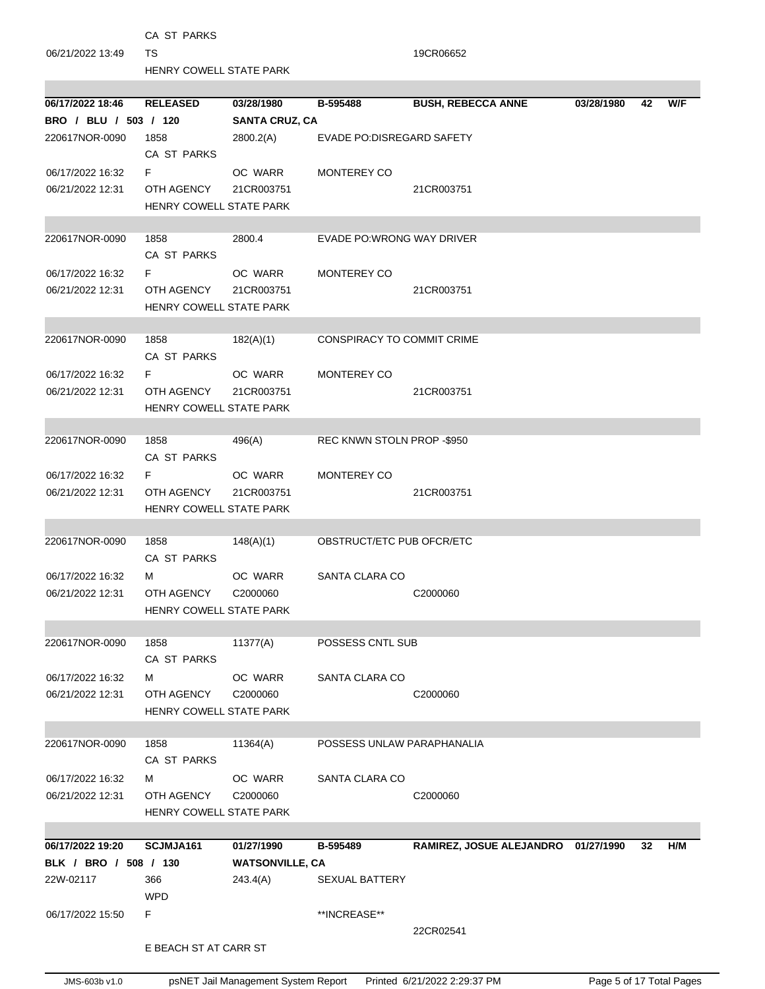|                       | CA ST PARKS                           |                        |                                   |                                     |            |    |     |
|-----------------------|---------------------------------------|------------------------|-----------------------------------|-------------------------------------|------------|----|-----|
| 06/21/2022 13:49      | TS                                    |                        |                                   | 19CR06652                           |            |    |     |
|                       | HENRY COWELL STATE PARK               |                        |                                   |                                     |            |    |     |
| 06/17/2022 18:46      | <b>RELEASED</b>                       | 03/28/1980             | B-595488                          | <b>BUSH, REBECCA ANNE</b>           | 03/28/1980 | 42 | W/F |
| BRO / BLU / 503 / 120 |                                       | <b>SANTA CRUZ, CA</b>  |                                   |                                     |            |    |     |
| 220617NOR-0090        | 1858<br>CA ST PARKS                   | 2800.2(A)              | EVADE PO:DISREGARD SAFETY         |                                     |            |    |     |
| 06/17/2022 16:32      | F.                                    | OC WARR                | MONTEREY CO                       |                                     |            |    |     |
| 06/21/2022 12:31      | OTH AGENCY                            | 21CR003751             |                                   | 21CR003751                          |            |    |     |
|                       | <b>HENRY COWELL STATE PARK</b>        |                        |                                   |                                     |            |    |     |
| 220617NOR-0090        | 1858                                  | 2800.4                 | EVADE PO: WRONG WAY DRIVER        |                                     |            |    |     |
|                       | CA ST PARKS                           |                        |                                   |                                     |            |    |     |
| 06/17/2022 16:32      | F.                                    | OC WARR                | MONTEREY CO                       |                                     |            |    |     |
| 06/21/2022 12:31      | OTH AGENCY<br>HENRY COWELL STATE PARK | 21CR003751             |                                   | 21CR003751                          |            |    |     |
|                       |                                       |                        |                                   |                                     |            |    |     |
| 220617NOR-0090        | 1858<br>CA ST PARKS                   | 182(A)(1)              | <b>CONSPIRACY TO COMMIT CRIME</b> |                                     |            |    |     |
| 06/17/2022 16:32      | F.                                    | OC WARR                | MONTEREY CO                       |                                     |            |    |     |
| 06/21/2022 12:31      | OTH AGENCY                            | 21CR003751             |                                   | 21CR003751                          |            |    |     |
|                       | HENRY COWELL STATE PARK               |                        |                                   |                                     |            |    |     |
| 220617NOR-0090        | 1858                                  | 496(A)                 | REC KNWN STOLN PROP -\$950        |                                     |            |    |     |
|                       | CA ST PARKS                           |                        |                                   |                                     |            |    |     |
| 06/17/2022 16:32      | F.                                    | OC WARR                | MONTEREY CO                       |                                     |            |    |     |
| 06/21/2022 12:31      | OTH AGENCY                            | 21CR003751             |                                   | 21CR003751                          |            |    |     |
|                       | <b>HENRY COWELL STATE PARK</b>        |                        |                                   |                                     |            |    |     |
| 220617NOR-0090        | 1858                                  | 148(A)(1)              | OBSTRUCT/ETC PUB OFCR/ETC         |                                     |            |    |     |
|                       | CA ST PARKS                           |                        |                                   |                                     |            |    |     |
| 06/17/2022 16:32      | м                                     | OC WARR                | SANTA CLARA CO                    |                                     |            |    |     |
| 06/21/2022 12:31      | OTH AGENCY C2000060                   |                        |                                   | C2000060                            |            |    |     |
|                       | <b>HENRY COWELL STATE PARK</b>        |                        |                                   |                                     |            |    |     |
| 220617NOR-0090        | 1858                                  | 11377(A)               | POSSESS CNTL SUB                  |                                     |            |    |     |
|                       | CA ST PARKS                           |                        |                                   |                                     |            |    |     |
| 06/17/2022 16:32      | м                                     | OC WARR                | SANTA CLARA CO                    |                                     |            |    |     |
| 06/21/2022 12:31      | OTH AGENCY                            | C2000060               |                                   | C2000060                            |            |    |     |
|                       | HENRY COWELL STATE PARK               |                        |                                   |                                     |            |    |     |
|                       |                                       |                        |                                   |                                     |            |    |     |
| 220617NOR-0090        | 1858                                  | 11364(A)               | POSSESS UNLAW PARAPHANALIA        |                                     |            |    |     |
|                       | CA ST PARKS                           |                        |                                   |                                     |            |    |     |
| 06/17/2022 16:32      | м                                     | OC WARR                | SANTA CLARA CO                    |                                     |            |    |     |
| 06/21/2022 12:31      | OTH AGENCY                            | C2000060               |                                   | C2000060                            |            |    |     |
|                       | HENRY COWELL STATE PARK               |                        |                                   |                                     |            |    |     |
| 06/17/2022 19:20      | SCJMJA161                             | 01/27/1990             | B-595489                          | RAMIREZ, JOSUE ALEJANDRO 01/27/1990 |            | 32 | H/M |
| BLK / BRO / 508 / 130 |                                       | <b>WATSONVILLE, CA</b> |                                   |                                     |            |    |     |
| 22W-02117             | 366                                   | 243.4(A)               | <b>SEXUAL BATTERY</b>             |                                     |            |    |     |
|                       | <b>WPD</b>                            |                        |                                   |                                     |            |    |     |
| 06/17/2022 15:50      | F.                                    |                        | **INCREASE**                      |                                     |            |    |     |
|                       |                                       |                        |                                   | 22CR02541                           |            |    |     |
|                       | E BEACH ST AT CARR ST                 |                        |                                   |                                     |            |    |     |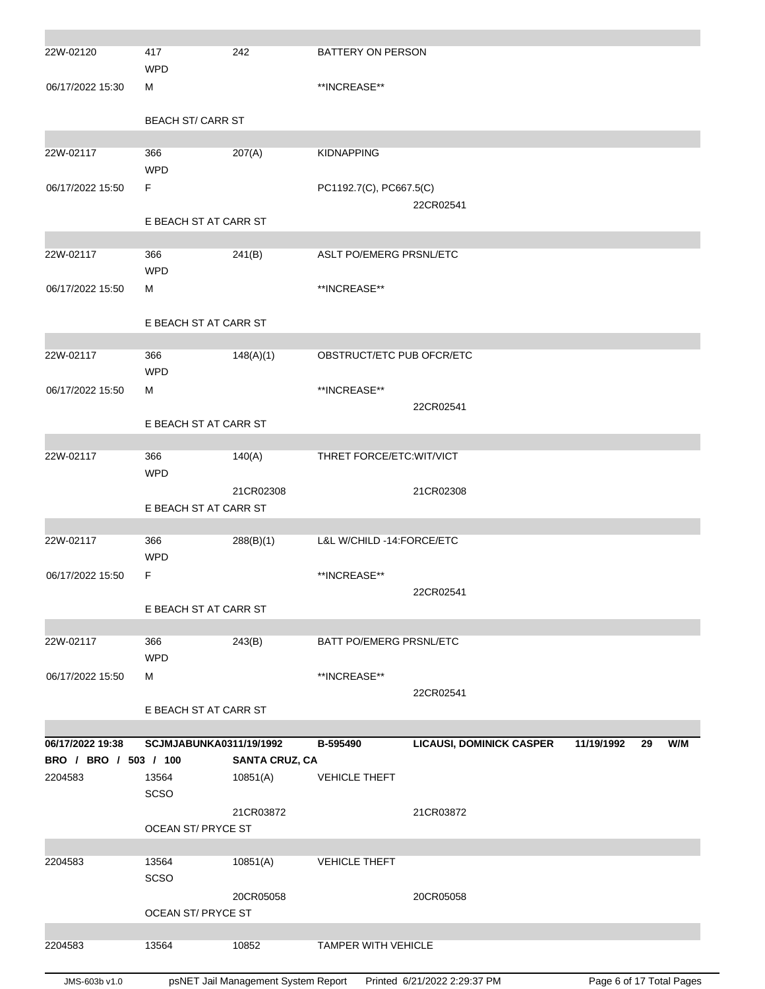| JMS-603b v1.0                             |                          | psNET Jail Management System Report              |                           | Printed 6/21/2022 2:29:37 PM    | Page 6 of 17 Total Pages |    |     |
|-------------------------------------------|--------------------------|--------------------------------------------------|---------------------------|---------------------------------|--------------------------|----|-----|
| 2204583                                   | 13564                    | 10852                                            | TAMPER WITH VEHICLE       |                                 |                          |    |     |
|                                           |                          |                                                  |                           |                                 |                          |    |     |
|                                           | OCEAN ST/ PRYCE ST       | 20CR05058                                        |                           | 20CR05058                       |                          |    |     |
|                                           | SCSO                     |                                                  |                           |                                 |                          |    |     |
| 2204583                                   | 13564                    | 10851(A)                                         | <b>VEHICLE THEFT</b>      |                                 |                          |    |     |
|                                           | OCEAN ST/ PRYCE ST       |                                                  |                           |                                 |                          |    |     |
|                                           |                          | 21CR03872                                        |                           | 21CR03872                       |                          |    |     |
|                                           | SCSO                     |                                                  |                           |                                 |                          |    |     |
| 2204583                                   | 13564                    | 10851(A)                                         | <b>VEHICLE THEFT</b>      |                                 |                          |    |     |
| 06/17/2022 19:38<br>BRO / BRO / 503 / 100 |                          | SCJMJABUNKA0311/19/1992<br><b>SANTA CRUZ, CA</b> | B-595490                  | <b>LICAUSI, DOMINICK CASPER</b> | 11/19/1992               | 29 | W/M |
|                                           |                          |                                                  |                           |                                 |                          |    |     |
|                                           | E BEACH ST AT CARR ST    |                                                  |                           |                                 |                          |    |     |
|                                           |                          |                                                  |                           | 22CR02541                       |                          |    |     |
| 06/17/2022 15:50                          | м                        |                                                  | **INCREASE**              |                                 |                          |    |     |
| 22W-02117                                 | 366<br><b>WPD</b>        | 243(B)                                           | BATT PO/EMERG PRSNL/ETC   |                                 |                          |    |     |
|                                           |                          |                                                  |                           |                                 |                          |    |     |
|                                           | E BEACH ST AT CARR ST    |                                                  |                           |                                 |                          |    |     |
|                                           |                          |                                                  |                           | 22CR02541                       |                          |    |     |
| 06/17/2022 15:50                          | F                        |                                                  | **INCREASE**              |                                 |                          |    |     |
| 22W-02117                                 | 366<br><b>WPD</b>        | 288(B)(1)                                        | L&L W/CHILD -14:FORCE/ETC |                                 |                          |    |     |
|                                           |                          |                                                  |                           |                                 |                          |    |     |
|                                           | E BEACH ST AT CARR ST    |                                                  |                           |                                 |                          |    |     |
|                                           |                          | 21CR02308                                        |                           | 21CR02308                       |                          |    |     |
| 22W-02117                                 | 366<br><b>WPD</b>        | 140(A)                                           | THRET FORCE/ETC: WIT/VICT |                                 |                          |    |     |
|                                           |                          |                                                  |                           |                                 |                          |    |     |
|                                           | E BEACH ST AT CARR ST    |                                                  |                           |                                 |                          |    |     |
|                                           |                          |                                                  |                           | 22CR02541                       |                          |    |     |
| 06/17/2022 15:50                          | <b>WPD</b><br>м          |                                                  | **INCREASE**              |                                 |                          |    |     |
| 22W-02117                                 | 366                      | 148(A)(1)                                        | OBSTRUCT/ETC PUB OFCR/ETC |                                 |                          |    |     |
|                                           |                          |                                                  |                           |                                 |                          |    |     |
|                                           | E BEACH ST AT CARR ST    |                                                  |                           |                                 |                          |    |     |
| 06/17/2022 15:50                          | м                        |                                                  | **INCREASE**              |                                 |                          |    |     |
|                                           | <b>WPD</b>               |                                                  |                           |                                 |                          |    |     |
| 22W-02117                                 | 366                      | 241(B)                                           | ASLT PO/EMERG PRSNL/ETC   |                                 |                          |    |     |
|                                           | E BEACH ST AT CARR ST    |                                                  |                           |                                 |                          |    |     |
|                                           |                          |                                                  |                           | 22CR02541                       |                          |    |     |
| 06/17/2022 15:50                          | F                        |                                                  | PC1192.7(C), PC667.5(C)   |                                 |                          |    |     |
| 22W-02117                                 | 366<br><b>WPD</b>        | 207(A)                                           | <b>KIDNAPPING</b>         |                                 |                          |    |     |
|                                           |                          |                                                  |                           |                                 |                          |    |     |
|                                           | <b>BEACH ST/ CARR ST</b> |                                                  |                           |                                 |                          |    |     |
| 06/17/2022 15:30                          | м                        |                                                  | **INCREASE**              |                                 |                          |    |     |
|                                           | <b>WPD</b>               |                                                  |                           |                                 |                          |    |     |
| 22W-02120                                 | 417                      | 242                                              | BATTERY ON PERSON         |                                 |                          |    |     |
|                                           |                          |                                                  |                           |                                 |                          |    |     |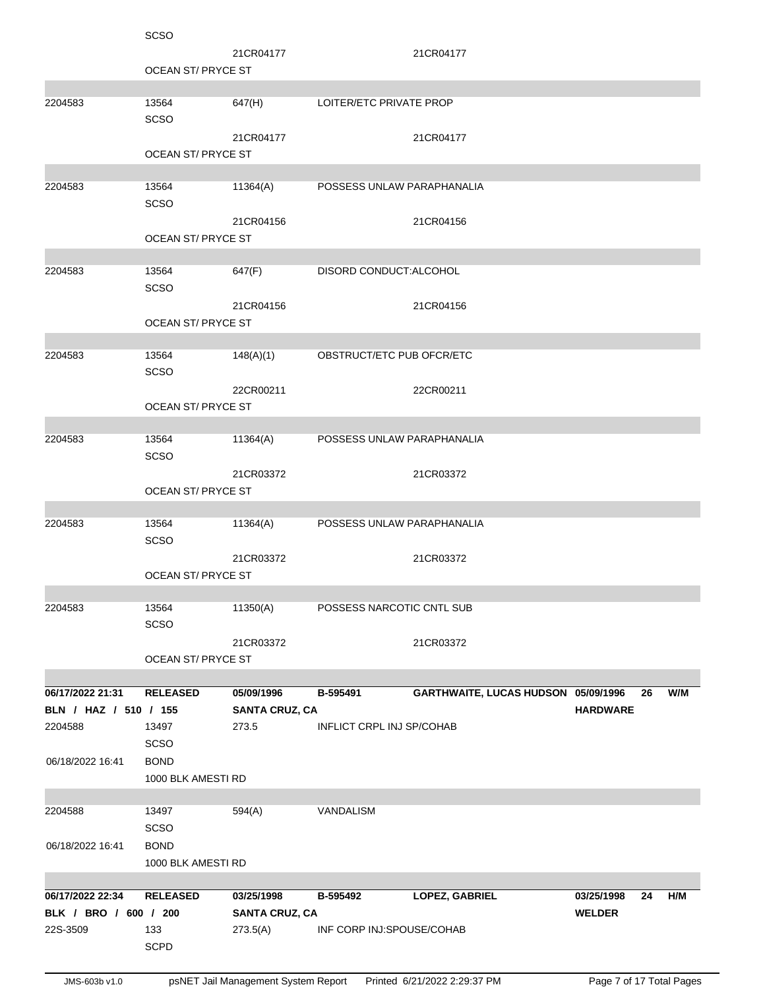|                       | <b>SCSO</b>               |                       |                                  |                                     |                 |    |     |
|-----------------------|---------------------------|-----------------------|----------------------------------|-------------------------------------|-----------------|----|-----|
|                       |                           | 21CR04177             |                                  | 21CR04177                           |                 |    |     |
|                       | <b>OCEAN ST/ PRYCE ST</b> |                       |                                  |                                     |                 |    |     |
|                       |                           |                       |                                  |                                     |                 |    |     |
| 2204583               | 13564                     | 647(H)                | LOITER/ETC PRIVATE PROP          |                                     |                 |    |     |
|                       | <b>SCSO</b>               |                       |                                  |                                     |                 |    |     |
|                       |                           | 21CR04177             |                                  | 21CR04177                           |                 |    |     |
|                       | OCEAN ST/ PRYCE ST        |                       |                                  |                                     |                 |    |     |
|                       |                           |                       |                                  |                                     |                 |    |     |
| 2204583               | 13564                     | 11364(A)              | POSSESS UNLAW PARAPHANALIA       |                                     |                 |    |     |
|                       |                           |                       |                                  |                                     |                 |    |     |
|                       | <b>SCSO</b>               |                       |                                  |                                     |                 |    |     |
|                       |                           | 21CR04156             |                                  | 21CR04156                           |                 |    |     |
|                       | <b>OCEAN ST/ PRYCE ST</b> |                       |                                  |                                     |                 |    |     |
|                       |                           |                       |                                  |                                     |                 |    |     |
| 2204583               | 13564                     | 647(F)                | DISORD CONDUCT: ALCOHOL          |                                     |                 |    |     |
|                       | <b>SCSO</b>               |                       |                                  |                                     |                 |    |     |
|                       |                           | 21CR04156             |                                  | 21CR04156                           |                 |    |     |
|                       | <b>OCEAN ST/ PRYCE ST</b> |                       |                                  |                                     |                 |    |     |
|                       |                           |                       |                                  |                                     |                 |    |     |
| 2204583               | 13564                     | 148(A)(1)             | OBSTRUCT/ETC PUB OFCR/ETC        |                                     |                 |    |     |
|                       | <b>SCSO</b>               |                       |                                  |                                     |                 |    |     |
|                       |                           | 22CR00211             |                                  | 22CR00211                           |                 |    |     |
|                       | <b>OCEAN ST/ PRYCE ST</b> |                       |                                  |                                     |                 |    |     |
|                       |                           |                       |                                  |                                     |                 |    |     |
| 2204583               | 13564                     | 11364(A)              | POSSESS UNLAW PARAPHANALIA       |                                     |                 |    |     |
|                       | <b>SCSO</b>               |                       |                                  |                                     |                 |    |     |
|                       |                           | 21CR03372             |                                  | 21CR03372                           |                 |    |     |
|                       | <b>OCEAN ST/ PRYCE ST</b> |                       |                                  |                                     |                 |    |     |
|                       |                           |                       |                                  |                                     |                 |    |     |
| 2204583               | 13564                     | 11364(A)              | POSSESS UNLAW PARAPHANALIA       |                                     |                 |    |     |
|                       | <b>SCSO</b>               |                       |                                  |                                     |                 |    |     |
|                       |                           |                       |                                  |                                     |                 |    |     |
|                       | <b>OCEAN ST/ PRYCE ST</b> | 21CR03372             |                                  | 21CR03372                           |                 |    |     |
|                       |                           |                       |                                  |                                     |                 |    |     |
| 2204583               | 13564                     | 11350(A)              | POSSESS NARCOTIC CNTL SUB        |                                     |                 |    |     |
|                       |                           |                       |                                  |                                     |                 |    |     |
|                       | SCSO                      |                       |                                  |                                     |                 |    |     |
|                       |                           | 21CR03372             |                                  | 21CR03372                           |                 |    |     |
|                       | <b>OCEAN ST/ PRYCE ST</b> |                       |                                  |                                     |                 |    |     |
|                       |                           |                       |                                  |                                     |                 |    |     |
| 06/17/2022 21:31      | <b>RELEASED</b>           | 05/09/1996            | B-595491                         | GARTHWAITE, LUCAS HUDSON 05/09/1996 |                 | 26 | W/M |
| BLN / HAZ / 510 / 155 |                           | <b>SANTA CRUZ, CA</b> |                                  |                                     | <b>HARDWARE</b> |    |     |
| 2204588               | 13497                     | 273.5                 | <b>INFLICT CRPL INJ SP/COHAB</b> |                                     |                 |    |     |
|                       | SCSO                      |                       |                                  |                                     |                 |    |     |
| 06/18/2022 16:41      | <b>BOND</b>               |                       |                                  |                                     |                 |    |     |
|                       | 1000 BLK AMESTI RD        |                       |                                  |                                     |                 |    |     |
|                       |                           |                       |                                  |                                     |                 |    |     |
| 2204588               | 13497                     | 594(A)                | VANDALISM                        |                                     |                 |    |     |
|                       | <b>SCSO</b>               |                       |                                  |                                     |                 |    |     |
| 06/18/2022 16:41      | <b>BOND</b>               |                       |                                  |                                     |                 |    |     |
|                       | 1000 BLK AMESTI RD        |                       |                                  |                                     |                 |    |     |
|                       |                           |                       |                                  |                                     |                 |    |     |
| 06/17/2022 22:34      | <b>RELEASED</b>           | 03/25/1998            | B-595492                         | LOPEZ, GABRIEL                      | 03/25/1998      | 24 | H/M |
| BLK / BRO / 600 / 200 |                           | <b>SANTA CRUZ, CA</b> |                                  |                                     | <b>WELDER</b>   |    |     |
| 22S-3509              | 133                       | 273.5(A)              | INF CORP INJ:SPOUSE/COHAB        |                                     |                 |    |     |
|                       | <b>SCPD</b>               |                       |                                  |                                     |                 |    |     |
|                       |                           |                       |                                  |                                     |                 |    |     |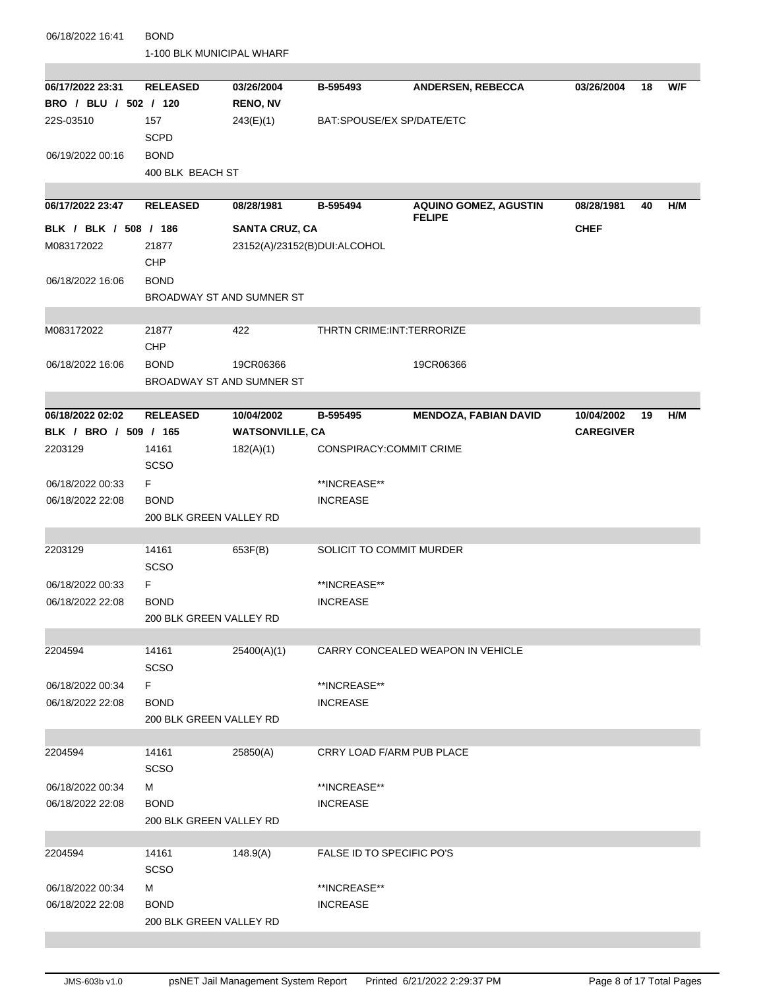| 06/18/2022 16:41      | <b>BOND</b>                              |                              |                             |                                               |                  |    |     |
|-----------------------|------------------------------------------|------------------------------|-----------------------------|-----------------------------------------------|------------------|----|-----|
|                       | 1-100 BLK MUNICIPAL WHARF                |                              |                             |                                               |                  |    |     |
| 06/17/2022 23:31      | <b>RELEASED</b>                          | 03/26/2004                   | B-595493                    | <b>ANDERSEN, REBECCA</b>                      | 03/26/2004       | 18 | W/F |
| BRO / BLU / 502 / 120 |                                          | <b>RENO, NV</b>              |                             |                                               |                  |    |     |
| 22S-03510             | 157                                      | 243(E)(1)                    | BAT:SPOUSE/EX SP/DATE/ETC   |                                               |                  |    |     |
|                       | <b>SCPD</b>                              |                              |                             |                                               |                  |    |     |
| 06/19/2022 00:16      | <b>BOND</b>                              |                              |                             |                                               |                  |    |     |
|                       | 400 BLK BEACH ST                         |                              |                             |                                               |                  |    |     |
|                       |                                          |                              |                             |                                               |                  |    |     |
| 06/17/2022 23:47      | <b>RELEASED</b>                          | 08/28/1981                   | B-595494                    | <b>AQUINO GOMEZ, AGUSTIN</b><br><b>FELIPE</b> | 08/28/1981       | 40 | H/M |
| BLK / BLK / 508 / 186 |                                          | <b>SANTA CRUZ, CA</b>        |                             |                                               | <b>CHEF</b>      |    |     |
| M083172022            | 21877<br><b>CHP</b>                      | 23152(A)/23152(B)DUI:ALCOHOL |                             |                                               |                  |    |     |
| 06/18/2022 16:06      | <b>BOND</b>                              |                              |                             |                                               |                  |    |     |
|                       | BROADWAY ST AND SUMNER ST                |                              |                             |                                               |                  |    |     |
|                       |                                          |                              |                             |                                               |                  |    |     |
| M083172022            | 21877<br><b>CHP</b>                      | 422                          | THRTN CRIME: INT: TERRORIZE |                                               |                  |    |     |
|                       |                                          |                              |                             |                                               |                  |    |     |
| 06/18/2022 16:06      | <b>BOND</b><br>BROADWAY ST AND SUMNER ST | 19CR06366                    |                             | 19CR06366                                     |                  |    |     |
|                       |                                          |                              |                             |                                               |                  |    |     |
| 06/18/2022 02:02      | <b>RELEASED</b>                          | 10/04/2002                   | B-595495                    | <b>MENDOZA, FABIAN DAVID</b>                  | 10/04/2002       | 19 | H/M |
| BLK / BRO / 509 / 165 |                                          | <b>WATSONVILLE, CA</b>       |                             |                                               | <b>CAREGIVER</b> |    |     |
| 2203129               | 14161<br><b>SCSO</b>                     | 182(A)(1)                    | CONSPIRACY:COMMIT CRIME     |                                               |                  |    |     |
| 06/18/2022 00:33      | F.                                       |                              | **INCREASE**                |                                               |                  |    |     |
| 06/18/2022 22:08      | <b>BOND</b>                              |                              | <b>INCREASE</b>             |                                               |                  |    |     |
|                       | 200 BLK GREEN VALLEY RD                  |                              |                             |                                               |                  |    |     |
|                       |                                          |                              |                             |                                               |                  |    |     |
| 2203129               | 14161<br><b>SCSO</b>                     | 653F(B)                      | SOLICIT TO COMMIT MURDER    |                                               |                  |    |     |
| 06/18/2022 00:33      | F                                        |                              | **INCREASE**                |                                               |                  |    |     |
| 06/18/2022 22:08      | <b>BOND</b>                              |                              | <b>INCREASE</b>             |                                               |                  |    |     |
|                       | 200 BLK GREEN VALLEY RD                  |                              |                             |                                               |                  |    |     |
|                       |                                          |                              |                             |                                               |                  |    |     |
| 2204594               | 14161<br><b>SCSO</b>                     | 25400(A)(1)                  |                             | CARRY CONCEALED WEAPON IN VEHICLE             |                  |    |     |
| 06/18/2022 00:34      | F.                                       |                              | **INCREASE**                |                                               |                  |    |     |
| 06/18/2022 22:08      | <b>BOND</b>                              |                              | <b>INCREASE</b>             |                                               |                  |    |     |
|                       | 200 BLK GREEN VALLEY RD                  |                              |                             |                                               |                  |    |     |
|                       |                                          |                              |                             |                                               |                  |    |     |
| 2204594               | 14161<br><b>SCSO</b>                     | 25850(A)                     | CRRY LOAD F/ARM PUB PLACE   |                                               |                  |    |     |
| 06/18/2022 00:34      | м                                        |                              | **INCREASE**                |                                               |                  |    |     |
| 06/18/2022 22:08      | <b>BOND</b>                              |                              | <b>INCREASE</b>             |                                               |                  |    |     |
|                       | 200 BLK GREEN VALLEY RD                  |                              |                             |                                               |                  |    |     |
| 2204594               | 14161                                    | 148.9(A)                     | FALSE ID TO SPECIFIC PO'S   |                                               |                  |    |     |
|                       | <b>SCSO</b>                              |                              |                             |                                               |                  |    |     |
| 06/18/2022 00:34      | м                                        |                              | **INCREASE**                |                                               |                  |    |     |
| 06/18/2022 22:08      | <b>BOND</b>                              |                              | <b>INCREASE</b>             |                                               |                  |    |     |
|                       | 200 BLK GREEN VALLEY RD                  |                              |                             |                                               |                  |    |     |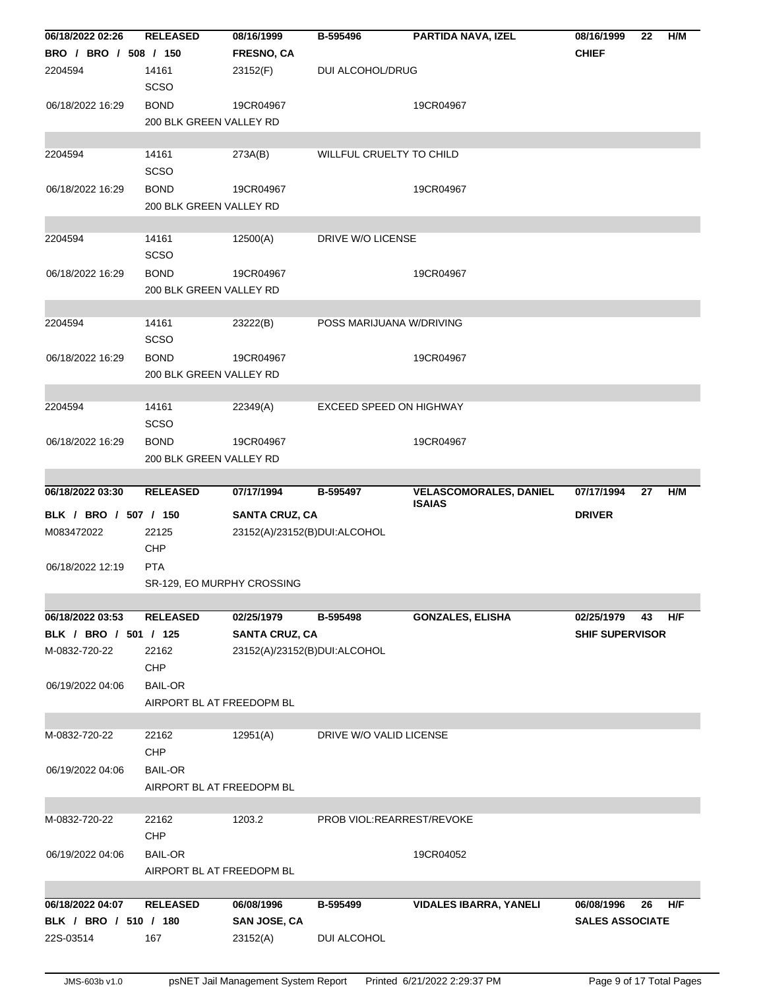| BRO / BRO / 508 / 150<br>2204594 | <b>RELEASED</b>            | 08/16/1999                   | B-595496                   | PARTIDA NAVA, IZEL                             | 08/16/1999             | 22 | H/M |
|----------------------------------|----------------------------|------------------------------|----------------------------|------------------------------------------------|------------------------|----|-----|
|                                  |                            | <b>FRESNO, CA</b>            |                            |                                                | <b>CHIEF</b>           |    |     |
|                                  | 14161                      | 23152(F)                     | DUI ALCOHOL/DRUG           |                                                |                        |    |     |
|                                  | <b>SCSO</b>                |                              |                            |                                                |                        |    |     |
| 06/18/2022 16:29                 | <b>BOND</b>                | 19CR04967                    |                            | 19CR04967                                      |                        |    |     |
|                                  | 200 BLK GREEN VALLEY RD    |                              |                            |                                                |                        |    |     |
|                                  |                            |                              |                            |                                                |                        |    |     |
| 2204594                          | 14161                      | 273A(B)                      | WILLFUL CRUELTY TO CHILD   |                                                |                        |    |     |
|                                  | <b>SCSO</b>                |                              |                            |                                                |                        |    |     |
| 06/18/2022 16:29                 | <b>BOND</b>                | 19CR04967                    |                            | 19CR04967                                      |                        |    |     |
|                                  | 200 BLK GREEN VALLEY RD    |                              |                            |                                                |                        |    |     |
|                                  |                            |                              |                            |                                                |                        |    |     |
| 2204594                          | 14161                      | 12500(A)                     | DRIVE W/O LICENSE          |                                                |                        |    |     |
|                                  | <b>SCSO</b>                |                              |                            |                                                |                        |    |     |
| 06/18/2022 16:29                 | <b>BOND</b>                | 19CR04967                    |                            | 19CR04967                                      |                        |    |     |
|                                  | 200 BLK GREEN VALLEY RD    |                              |                            |                                                |                        |    |     |
|                                  |                            |                              |                            |                                                |                        |    |     |
| 2204594                          | 14161                      | 23222(B)                     | POSS MARIJUANA W/DRIVING   |                                                |                        |    |     |
|                                  | <b>SCSO</b>                |                              |                            |                                                |                        |    |     |
| 06/18/2022 16:29                 | <b>BOND</b>                | 19CR04967                    |                            | 19CR04967                                      |                        |    |     |
|                                  | 200 BLK GREEN VALLEY RD    |                              |                            |                                                |                        |    |     |
|                                  |                            |                              |                            |                                                |                        |    |     |
| 2204594                          | 14161                      | 22349(A)                     | EXCEED SPEED ON HIGHWAY    |                                                |                        |    |     |
|                                  | <b>SCSO</b>                |                              |                            |                                                |                        |    |     |
| 06/18/2022 16:29                 | <b>BOND</b>                | 19CR04967                    |                            | 19CR04967                                      |                        |    |     |
|                                  | 200 BLK GREEN VALLEY RD    |                              |                            |                                                |                        |    |     |
|                                  |                            |                              |                            |                                                |                        |    |     |
| 06/18/2022 03:30                 | <b>RELEASED</b>            | 07/17/1994                   | B-595497                   | <b>VELASCOMORALES, DANIEL</b><br><b>ISAIAS</b> | 07/17/1994             | 27 | H/M |
| BLK / BRO / 507 / 150            |                            | <b>SANTA CRUZ, CA</b>        |                            |                                                | <b>DRIVER</b>          |    |     |
| M083472022                       | 22125                      | 23152(A)/23152(B)DUI:ALCOHOL |                            |                                                |                        |    |     |
|                                  | CHP                        |                              |                            |                                                |                        |    |     |
|                                  |                            |                              |                            |                                                |                        |    |     |
| 06/18/2022 12:19                 | <b>PTA</b>                 |                              |                            |                                                |                        |    |     |
|                                  | SR-129, EO MURPHY CROSSING |                              |                            |                                                |                        |    |     |
|                                  |                            |                              |                            |                                                |                        |    |     |
| 06/18/2022 03:53                 | <b>RELEASED</b>            | 02/25/1979                   | B-595498                   | <b>GONZALES, ELISHA</b>                        | 02/25/1979             | 43 | H/F |
| BLK / BRO / 501 / 125            |                            | <b>SANTA CRUZ, CA</b>        |                            |                                                | <b>SHIF SUPERVISOR</b> |    |     |
| M-0832-720-22                    | 22162                      | 23152(A)/23152(B)DUI:ALCOHOL |                            |                                                |                        |    |     |
|                                  | <b>CHP</b>                 |                              |                            |                                                |                        |    |     |
| 06/19/2022 04:06                 | <b>BAIL-OR</b>             |                              |                            |                                                |                        |    |     |
|                                  | AIRPORT BL AT FREEDOPM BL  |                              |                            |                                                |                        |    |     |
|                                  |                            |                              |                            |                                                |                        |    |     |
| M-0832-720-22                    | 22162                      | 12951(A)                     | DRIVE W/O VALID LICENSE    |                                                |                        |    |     |
|                                  | <b>CHP</b>                 |                              |                            |                                                |                        |    |     |
| 06/19/2022 04:06                 | <b>BAIL-OR</b>             |                              |                            |                                                |                        |    |     |
|                                  | AIRPORT BL AT FREEDOPM BL  |                              |                            |                                                |                        |    |     |
|                                  |                            |                              |                            |                                                |                        |    |     |
| M-0832-720-22                    | 22162                      | 1203.2                       | PROB VIOL: REARREST/REVOKE |                                                |                        |    |     |
|                                  | CHP                        |                              |                            |                                                |                        |    |     |
| 06/19/2022 04:06                 | <b>BAIL-OR</b>             |                              |                            | 19CR04052                                      |                        |    |     |
|                                  | AIRPORT BL AT FREEDOPM BL  |                              |                            |                                                |                        |    |     |
|                                  |                            |                              |                            |                                                |                        |    |     |
| 06/18/2022 04:07                 | <b>RELEASED</b>            | 06/08/1996                   | B-595499                   | <b>VIDALES IBARRA, YANELI</b>                  | 06/08/1996             | 26 | H/F |
| BLK / BRO / 510 / 180            |                            | <b>SAN JOSE, CA</b>          |                            |                                                | <b>SALES ASSOCIATE</b> |    |     |
| 22S-03514                        | 167                        | 23152(A)                     | DUI ALCOHOL                |                                                |                        |    |     |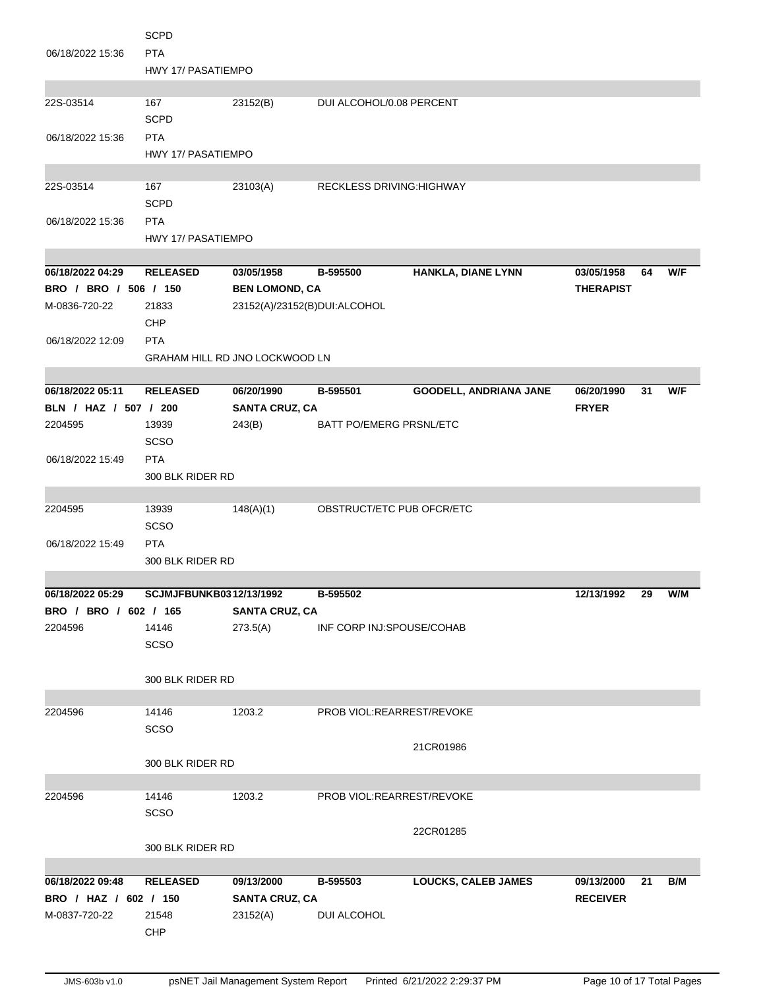|                       | <b>SCPD</b>               |                                |                                  |                               |                  |    |     |
|-----------------------|---------------------------|--------------------------------|----------------------------------|-------------------------------|------------------|----|-----|
| 06/18/2022 15:36      | <b>PTA</b>                |                                |                                  |                               |                  |    |     |
|                       | <b>HWY 17/ PASATIEMPO</b> |                                |                                  |                               |                  |    |     |
| 22S-03514             | 167                       | 23152(B)                       | DUI ALCOHOL/0.08 PERCENT         |                               |                  |    |     |
|                       | <b>SCPD</b>               |                                |                                  |                               |                  |    |     |
| 06/18/2022 15:36      | <b>PTA</b>                |                                |                                  |                               |                  |    |     |
|                       | <b>HWY 17/ PASATIEMPO</b> |                                |                                  |                               |                  |    |     |
|                       |                           |                                |                                  |                               |                  |    |     |
| 22S-03514             | 167                       | 23103(A)                       | <b>RECKLESS DRIVING: HIGHWAY</b> |                               |                  |    |     |
|                       | <b>SCPD</b>               |                                |                                  |                               |                  |    |     |
| 06/18/2022 15:36      | <b>PTA</b>                |                                |                                  |                               |                  |    |     |
|                       | HWY 17/ PASATIEMPO        |                                |                                  |                               |                  |    |     |
|                       |                           |                                |                                  |                               |                  |    |     |
| 06/18/2022 04:29      | <b>RELEASED</b>           | 03/05/1958                     | B-595500                         | <b>HANKLA, DIANE LYNN</b>     | 03/05/1958       | 64 | W/F |
| BRO / BRO / 506 / 150 |                           | <b>BEN LOMOND, CA</b>          |                                  |                               | <b>THERAPIST</b> |    |     |
| M-0836-720-22         | 21833                     | 23152(A)/23152(B)DUI:ALCOHOL   |                                  |                               |                  |    |     |
|                       | CHP                       |                                |                                  |                               |                  |    |     |
| 06/18/2022 12:09      | <b>PTA</b>                |                                |                                  |                               |                  |    |     |
|                       |                           | GRAHAM HILL RD JNO LOCKWOOD LN |                                  |                               |                  |    |     |
|                       |                           |                                |                                  |                               |                  |    |     |
| 06/18/2022 05:11      | <b>RELEASED</b>           | 06/20/1990                     | B-595501                         | <b>GOODELL, ANDRIANA JANE</b> | 06/20/1990       | 31 | W/F |
| BLN / HAZ / 507 / 200 |                           | <b>SANTA CRUZ, CA</b>          |                                  |                               | <b>FRYER</b>     |    |     |
| 2204595               | 13939                     | 243(B)                         | <b>BATT PO/EMERG PRSNL/ETC</b>   |                               |                  |    |     |
|                       | SCSO                      |                                |                                  |                               |                  |    |     |
| 06/18/2022 15:49      | <b>PTA</b>                |                                |                                  |                               |                  |    |     |
|                       | 300 BLK RIDER RD          |                                |                                  |                               |                  |    |     |
|                       |                           |                                |                                  |                               |                  |    |     |
| 2204595               | 13939                     | 148(A)(1)                      | OBSTRUCT/ETC PUB OFCR/ETC        |                               |                  |    |     |
|                       | <b>SCSO</b>               |                                |                                  |                               |                  |    |     |
| 06/18/2022 15:49      | <b>PTA</b>                |                                |                                  |                               |                  |    |     |
|                       | 300 BLK RIDER RD          |                                |                                  |                               |                  |    |     |
| 06/18/2022 05:29      |                           |                                |                                  |                               |                  |    |     |
|                       |                           |                                |                                  |                               |                  |    |     |
|                       | SCJMJFBUNKB0312/13/1992   |                                | B-595502                         |                               | 12/13/1992       | 29 | W/M |
| BRO / BRO / 602 / 165 |                           | <b>SANTA CRUZ, CA</b>          |                                  |                               |                  |    |     |
| 2204596               | 14146                     | 273.5(A)                       | INF CORP INJ:SPOUSE/COHAB        |                               |                  |    |     |
|                       | SCSO                      |                                |                                  |                               |                  |    |     |
|                       | 300 BLK RIDER RD          |                                |                                  |                               |                  |    |     |
|                       |                           |                                |                                  |                               |                  |    |     |
| 2204596               | 14146                     | 1203.2                         | PROB VIOL:REARREST/REVOKE        |                               |                  |    |     |
|                       | SCSO                      |                                |                                  |                               |                  |    |     |
|                       |                           |                                |                                  | 21CR01986                     |                  |    |     |
|                       | 300 BLK RIDER RD          |                                |                                  |                               |                  |    |     |
|                       |                           |                                |                                  |                               |                  |    |     |
| 2204596               | 14146                     | 1203.2                         | PROB VIOL:REARREST/REVOKE        |                               |                  |    |     |
|                       | SCSO                      |                                |                                  |                               |                  |    |     |
|                       |                           |                                |                                  | 22CR01285                     |                  |    |     |
|                       | 300 BLK RIDER RD          |                                |                                  |                               |                  |    |     |
|                       |                           |                                |                                  |                               |                  |    |     |
| 06/18/2022 09:48      | <b>RELEASED</b>           | 09/13/2000                     | B-595503                         | <b>LOUCKS, CALEB JAMES</b>    | 09/13/2000       | 21 | B/M |
| BRO / HAZ / 602 / 150 |                           | <b>SANTA CRUZ, CA</b>          |                                  |                               | <b>RECEIVER</b>  |    |     |
| M-0837-720-22         | 21548                     | 23152(A)                       | DUI ALCOHOL                      |                               |                  |    |     |
|                       | CHP                       |                                |                                  |                               |                  |    |     |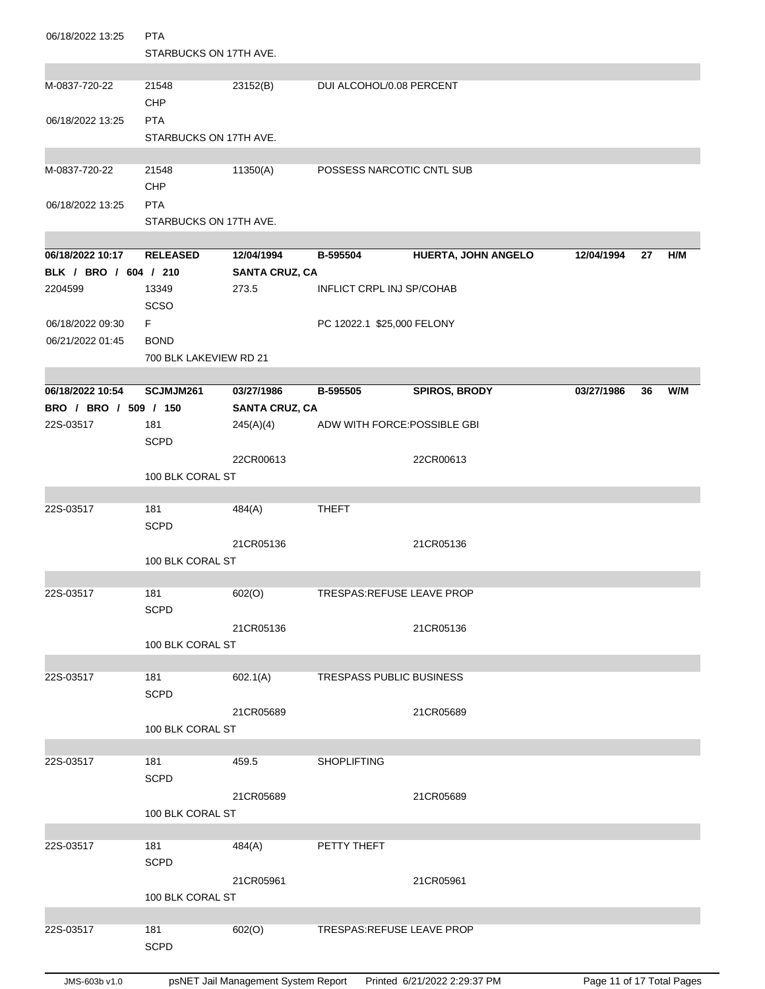| 06/18/2022 13:25                     | <b>PTA</b><br>STARBUCKS ON 17TH AVE. |                                     |                                  |                      |            |    |     |
|--------------------------------------|--------------------------------------|-------------------------------------|----------------------------------|----------------------|------------|----|-----|
| M-0837-720-22                        | 21548<br>CHP                         | 23152(B)                            | DUI ALCOHOL/0.08 PERCENT         |                      |            |    |     |
| 06/18/2022 13:25                     | <b>PTA</b><br>STARBUCKS ON 17TH AVE. |                                     |                                  |                      |            |    |     |
| M-0837-720-22                        | 21548<br><b>CHP</b>                  | 11350(A)                            | POSSESS NARCOTIC CNTL SUB        |                      |            |    |     |
| 06/18/2022 13:25                     | <b>PTA</b><br>STARBUCKS ON 17TH AVE. |                                     |                                  |                      |            |    |     |
| 06/18/2022 10:17                     | <b>RELEASED</b>                      | 12/04/1994                          | B-595504                         | HUERTA, JOHN ANGELO  | 12/04/1994 | 27 | H/M |
| BLK / BRO / 604 / 210                |                                      | <b>SANTA CRUZ, CA</b>               |                                  |                      |            |    |     |
| 2204599                              | 13349<br>SCSO                        | 273.5                               | <b>INFLICT CRPL INJ SP/COHAB</b> |                      |            |    |     |
| 06/18/2022 09:30<br>06/21/2022 01:45 | F.<br><b>BOND</b>                    |                                     | PC 12022.1 \$25,000 FELONY       |                      |            |    |     |
|                                      | 700 BLK LAKEVIEW RD 21               |                                     |                                  |                      |            |    |     |
| 06/18/2022 10:54                     |                                      |                                     |                                  |                      |            |    |     |
| BRO / BRO / 509 / 150                | SCJMJM261                            | 03/27/1986<br><b>SANTA CRUZ, CA</b> | B-595505                         | <b>SPIROS, BRODY</b> | 03/27/1986 | 36 | W/M |
| 22S-03517                            | 181<br><b>SCPD</b>                   | 245(A)(4)                           | ADW WITH FORCE: POSSIBLE GBI     |                      |            |    |     |
|                                      |                                      | 22CR00613                           |                                  | 22CR00613            |            |    |     |
|                                      | 100 BLK CORAL ST                     |                                     |                                  |                      |            |    |     |
| 22S-03517                            | 181                                  | 484(A)                              | <b>THEFT</b>                     |                      |            |    |     |
|                                      | <b>SCPD</b>                          | 21CR05136                           |                                  | 21CR05136            |            |    |     |
|                                      | 100 BLK CORAL ST                     |                                     |                                  |                      |            |    |     |
| 22S-03517                            | 181<br><b>SCPD</b>                   | 602(O)                              | TRESPAS:REFUSE LEAVE PROP        |                      |            |    |     |
|                                      | 100 BLK CORAL ST                     | 21CR05136                           |                                  | 21CR05136            |            |    |     |
|                                      |                                      |                                     |                                  |                      |            |    |     |
| 22S-03517                            | 181<br><b>SCPD</b>                   | 602.1(A)                            | <b>TRESPASS PUBLIC BUSINESS</b>  |                      |            |    |     |
|                                      | 100 BLK CORAL ST                     | 21CR05689                           |                                  | 21CR05689            |            |    |     |
|                                      |                                      |                                     |                                  |                      |            |    |     |
| 22S-03517                            | 181<br><b>SCPD</b>                   | 459.5                               | <b>SHOPLIFTING</b>               |                      |            |    |     |
|                                      | 100 BLK CORAL ST                     | 21CR05689                           |                                  | 21CR05689            |            |    |     |
|                                      |                                      |                                     |                                  |                      |            |    |     |
| 22S-03517                            | 181<br><b>SCPD</b>                   | 484(A)                              | PETTY THEFT                      |                      |            |    |     |
|                                      | 100 BLK CORAL ST                     | 21CR05961                           |                                  | 21CR05961            |            |    |     |
| 22S-03517                            | 181                                  | 602(O)                              | TRESPAS: REFUSE LEAVE PROP       |                      |            |    |     |
|                                      | <b>SCPD</b>                          |                                     |                                  |                      |            |    |     |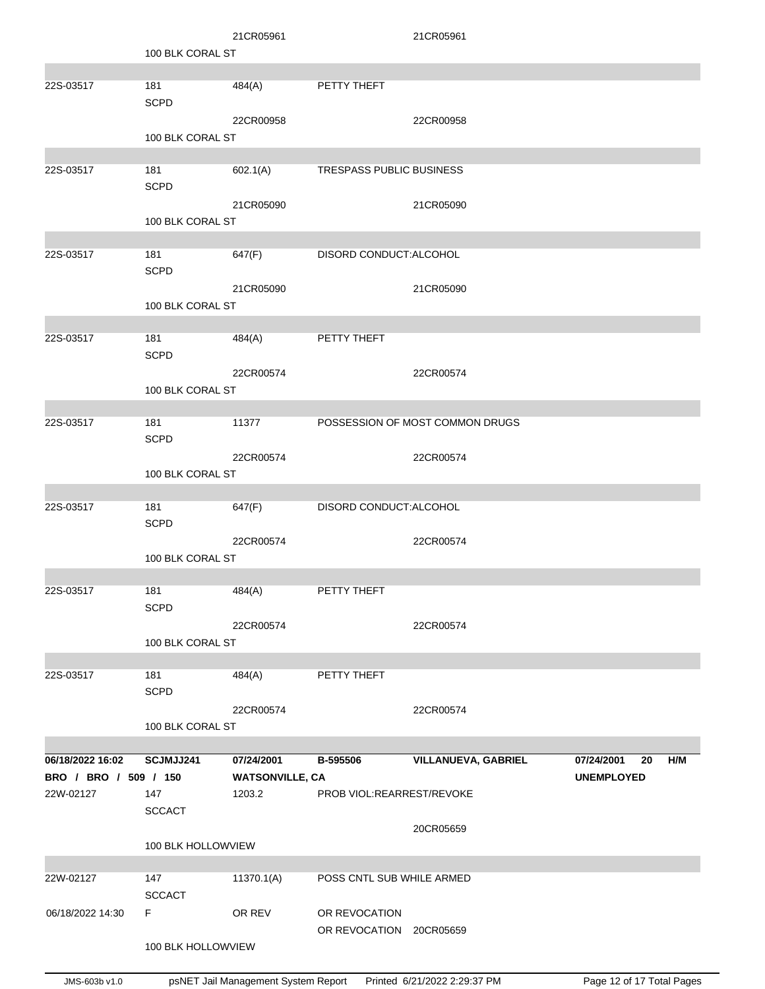|                       |                      | 21CR05961              |                           | 21CR05961                       |                         |
|-----------------------|----------------------|------------------------|---------------------------|---------------------------------|-------------------------|
|                       | 100 BLK CORAL ST     |                        |                           |                                 |                         |
| 22S-03517             | 181                  | 484(A)                 | PETTY THEFT               |                                 |                         |
|                       | <b>SCPD</b>          |                        |                           |                                 |                         |
|                       |                      | 22CR00958              |                           | 22CR00958                       |                         |
|                       | 100 BLK CORAL ST     |                        |                           |                                 |                         |
| 22S-03517             | 181                  | 602.1(A)               | TRESPASS PUBLIC BUSINESS  |                                 |                         |
|                       | <b>SCPD</b>          |                        |                           |                                 |                         |
|                       |                      | 21CR05090              |                           | 21CR05090                       |                         |
|                       | 100 BLK CORAL ST     |                        |                           |                                 |                         |
| 22S-03517             | 181                  | 647(F)                 | DISORD CONDUCT: ALCOHOL   |                                 |                         |
|                       | <b>SCPD</b>          |                        |                           |                                 |                         |
|                       |                      | 21CR05090              |                           | 21CR05090                       |                         |
|                       | 100 BLK CORAL ST     |                        |                           |                                 |                         |
|                       |                      |                        |                           |                                 |                         |
| 22S-03517             | 181<br><b>SCPD</b>   | 484(A)                 | PETTY THEFT               |                                 |                         |
|                       |                      | 22CR00574              |                           | 22CR00574                       |                         |
|                       | 100 BLK CORAL ST     |                        |                           |                                 |                         |
|                       |                      |                        |                           |                                 |                         |
| 22S-03517             | 181<br><b>SCPD</b>   | 11377                  |                           | POSSESSION OF MOST COMMON DRUGS |                         |
|                       |                      | 22CR00574              |                           | 22CR00574                       |                         |
|                       | 100 BLK CORAL ST     |                        |                           |                                 |                         |
|                       |                      |                        |                           |                                 |                         |
| 22S-03517             | 181                  | 647(F)                 | DISORD CONDUCT: ALCOHOL   |                                 |                         |
|                       | <b>SCPD</b>          | 22CR00574              |                           | 22CR00574                       |                         |
|                       | 100 BLK CORAL ST     |                        |                           |                                 |                         |
|                       |                      |                        |                           |                                 |                         |
| 22S-03517             | 181                  | 484(A)                 | PETTY THEFT               |                                 |                         |
|                       | <b>SCPD</b>          | 22CR00574              |                           | 22CR00574                       |                         |
|                       | 100 BLK CORAL ST     |                        |                           |                                 |                         |
|                       |                      |                        |                           |                                 |                         |
| 22S-03517             | 181                  | 484(A)                 | PETTY THEFT               |                                 |                         |
|                       | <b>SCPD</b>          | 22CR00574              |                           |                                 |                         |
|                       | 100 BLK CORAL ST     |                        |                           | 22CR00574                       |                         |
|                       |                      |                        |                           |                                 |                         |
| 06/18/2022 16:02      | SCJMJJ241            | 07/24/2001             | B-595506                  | <b>VILLANUEVA, GABRIEL</b>      | 07/24/2001<br>H/M<br>20 |
| BRO / BRO / 509 / 150 |                      | <b>WATSONVILLE, CA</b> |                           |                                 | <b>UNEMPLOYED</b>       |
| 22W-02127             | 147<br><b>SCCACT</b> | 1203.2                 | PROB VIOL:REARREST/REVOKE |                                 |                         |
|                       |                      |                        |                           | 20CR05659                       |                         |
|                       | 100 BLK HOLLOWVIEW   |                        |                           |                                 |                         |
|                       |                      |                        |                           |                                 |                         |
| 22W-02127             | 147<br><b>SCCACT</b> | 11370.1(A)             | POSS CNTL SUB WHILE ARMED |                                 |                         |
| 06/18/2022 14:30      | F.                   | OR REV                 | OR REVOCATION             |                                 |                         |
|                       |                      |                        | OR REVOCATION 20CR05659   |                                 |                         |
|                       | 100 BLK HOLLOWVIEW   |                        |                           |                                 |                         |
|                       |                      |                        |                           |                                 |                         |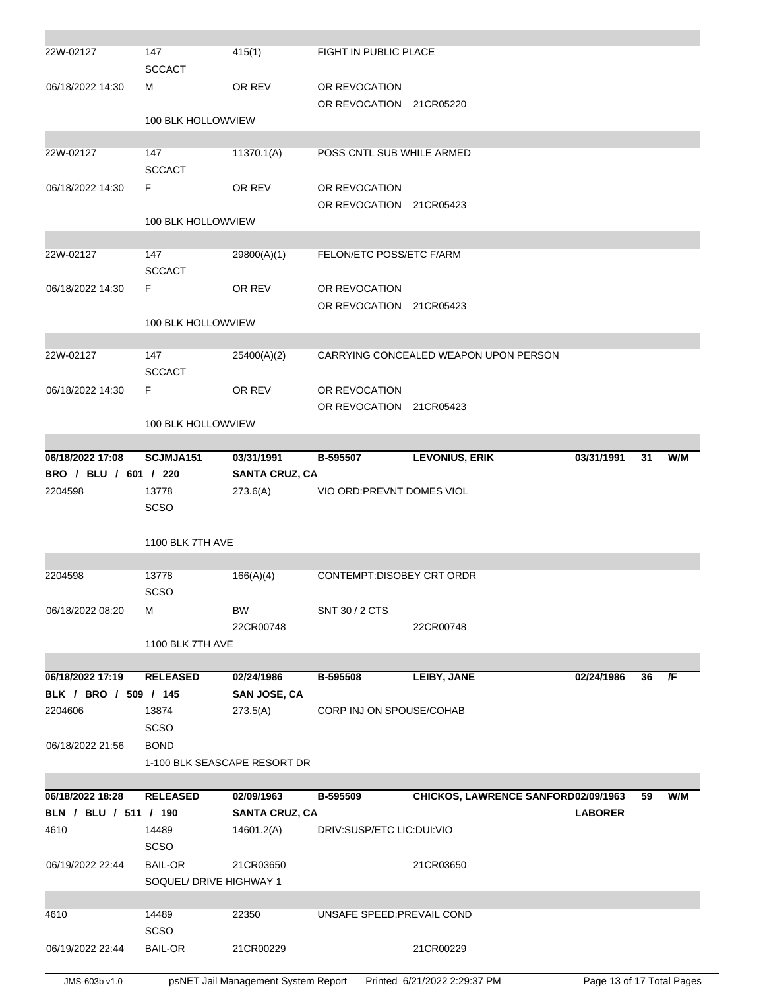| 4610<br>06/19/2022 22:44<br>4610<br>06/19/2022 22:44 | <b>SCSO</b><br><b>BAIL-OR</b><br>SOQUEL/ DRIVE HIGHWAY 1<br>14489<br><b>SCSO</b><br><b>BAIL-OR</b> | 21CR03650<br>22350<br>21CR00229   | UNSAFE SPEED: PREVAIL COND     | 21CR03650<br>21CR00229                |                |    |     |
|------------------------------------------------------|----------------------------------------------------------------------------------------------------|-----------------------------------|--------------------------------|---------------------------------------|----------------|----|-----|
|                                                      |                                                                                                    |                                   |                                |                                       |                |    |     |
|                                                      |                                                                                                    |                                   |                                |                                       |                |    |     |
|                                                      |                                                                                                    |                                   |                                |                                       |                |    |     |
|                                                      |                                                                                                    |                                   |                                |                                       |                |    |     |
|                                                      | 14489                                                                                              | 14601.2(A)                        | DRIV:SUSP/ETC LIC:DUI:VIO      |                                       |                |    |     |
| BLN / BLU / 511 / 190                                |                                                                                                    | <b>SANTA CRUZ, CA</b>             |                                |                                       | <b>LABORER</b> |    |     |
| 06/18/2022 18:28                                     | <b>RELEASED</b>                                                                                    | 02/09/1963                        | B-595509                       | CHICKOS, LAWRENCE SANFORD02/09/1963   |                | 59 | W/M |
|                                                      |                                                                                                    |                                   |                                |                                       |                |    |     |
| 06/18/2022 21:56                                     | <b>BOND</b>                                                                                        | 1-100 BLK SEASCAPE RESORT DR      |                                |                                       |                |    |     |
|                                                      | <b>SCSO</b>                                                                                        |                                   |                                |                                       |                |    |     |
| 2204606                                              | 13874                                                                                              | 273.5(A)                          | CORP INJ ON SPOUSE/COHAB       |                                       |                |    |     |
| BLK / BRO / 509 / 145                                |                                                                                                    | <b>SAN JOSE, CA</b>               |                                |                                       |                |    |     |
| 06/18/2022 17:19                                     | <b>RELEASED</b>                                                                                    | 02/24/1986                        | B-595508                       | LEIBY, JANE                           | 02/24/1986     | 36 | /F  |
|                                                      | 1100 BLK 7TH AVE                                                                                   |                                   |                                |                                       |                |    |     |
|                                                      |                                                                                                    | 22CR00748                         |                                | 22CR00748                             |                |    |     |
| 06/18/2022 08:20                                     | м                                                                                                  | <b>BW</b>                         | SNT 30 / 2 CTS                 |                                       |                |    |     |
|                                                      | <b>SCSO</b>                                                                                        |                                   |                                |                                       |                |    |     |
| 2204598                                              | 13778                                                                                              | 166(A)(4)                         | CONTEMPT:DISOBEY CRT ORDR      |                                       |                |    |     |
|                                                      | 1100 BLK 7TH AVE                                                                                   |                                   |                                |                                       |                |    |     |
|                                                      |                                                                                                    |                                   |                                |                                       |                |    |     |
|                                                      | <b>SCSO</b>                                                                                        |                                   |                                |                                       |                |    |     |
| BRO / BLU / 601 / 220<br>2204598                     | 13778                                                                                              | <b>SANTA CRUZ, CA</b><br>273.6(A) | VIO ORD: PREVNT DOMES VIOL     |                                       |                |    |     |
| 06/18/2022 17:08                                     | SCJMJA151                                                                                          | 03/31/1991                        | B-595507                       | <b>LEVONIUS, ERIK</b>                 | 03/31/1991     | 31 | W/M |
|                                                      |                                                                                                    |                                   |                                |                                       |                |    |     |
|                                                      | 100 BLK HOLLOWVIEW                                                                                 |                                   |                                |                                       |                |    |     |
| 06/18/2022 14:30                                     |                                                                                                    |                                   | OR REVOCATION<br>OR REVOCATION | 21CR05423                             |                |    |     |
|                                                      | <b>SCCACT</b><br>F                                                                                 | OR REV                            |                                |                                       |                |    |     |
| 22W-02127                                            | 147                                                                                                | 25400(A)(2)                       |                                | CARRYING CONCEALED WEAPON UPON PERSON |                |    |     |
|                                                      |                                                                                                    |                                   |                                |                                       |                |    |     |
|                                                      | 100 BLK HOLLOWVIEW                                                                                 |                                   | OR REVOCATION                  | 21CR05423                             |                |    |     |
| 06/18/2022 14:30                                     | F                                                                                                  | OR REV                            | OR REVOCATION                  |                                       |                |    |     |
|                                                      | <b>SCCACT</b>                                                                                      |                                   |                                |                                       |                |    |     |
| 22W-02127                                            | 147                                                                                                | 29800(A)(1)                       | FELON/ETC POSS/ETC F/ARM       |                                       |                |    |     |
|                                                      | 100 BLK HOLLOWVIEW                                                                                 |                                   |                                |                                       |                |    |     |
|                                                      |                                                                                                    |                                   | OR REVOCATION                  | 21CR05423                             |                |    |     |
| 06/18/2022 14:30                                     | F                                                                                                  | OR REV                            | OR REVOCATION                  |                                       |                |    |     |
| 22W-02127                                            | 147<br><b>SCCACT</b>                                                                               | 11370.1(A)                        | POSS CNTL SUB WHILE ARMED      |                                       |                |    |     |
|                                                      |                                                                                                    |                                   |                                |                                       |                |    |     |
|                                                      | 100 BLK HOLLOWVIEW                                                                                 |                                   | OR REVOCATION 21CR05220        |                                       |                |    |     |
| 06/18/2022 14:30                                     | м                                                                                                  | OR REV                            | OR REVOCATION                  |                                       |                |    |     |
|                                                      | <b>SCCACT</b>                                                                                      |                                   |                                |                                       |                |    |     |
| 22W-02127                                            | 147                                                                                                | 415(1)                            | FIGHT IN PUBLIC PLACE          |                                       |                |    |     |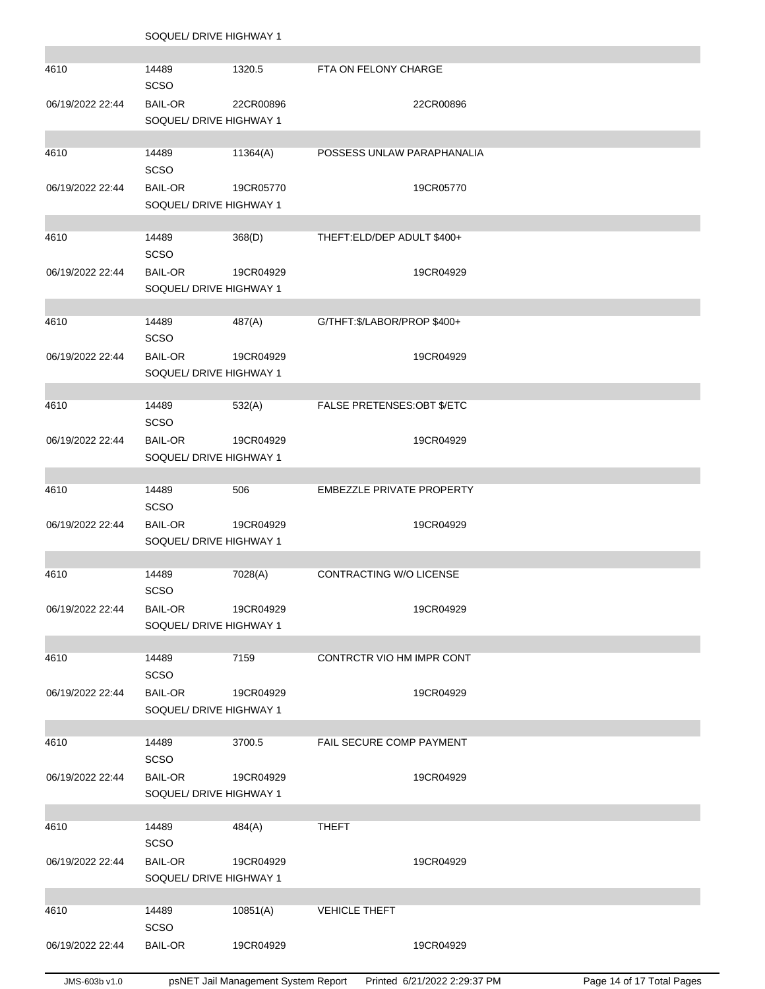SOQUEL/ DRIVE HIGHWAY 1

| 4610             | 14489<br><b>SCSO</b>                      | 1320.5                              | FTA ON FELONY CHARGE             |                              |                           |
|------------------|-------------------------------------------|-------------------------------------|----------------------------------|------------------------------|---------------------------|
| 06/19/2022 22:44 | <b>BAIL-OR</b><br>SOQUEL/ DRIVE HIGHWAY 1 | 22CR00896                           |                                  | 22CR00896                    |                           |
|                  |                                           |                                     |                                  |                              |                           |
| 4610             | 14489<br><b>SCSO</b>                      | 11364(A)                            | POSSESS UNLAW PARAPHANALIA       |                              |                           |
| 06/19/2022 22:44 | <b>BAIL-OR</b>                            | 19CR05770                           |                                  | 19CR05770                    |                           |
|                  | SOQUEL/ DRIVE HIGHWAY 1                   |                                     |                                  |                              |                           |
|                  |                                           |                                     |                                  |                              |                           |
| 4610             | 14489<br><b>SCSO</b>                      | 368(D)                              | THEFT:ELD/DEP ADULT \$400+       |                              |                           |
| 06/19/2022 22:44 | <b>BAIL-OR</b>                            | 19CR04929                           |                                  | 19CR04929                    |                           |
|                  | SOQUEL/ DRIVE HIGHWAY 1                   |                                     |                                  |                              |                           |
|                  |                                           |                                     |                                  |                              |                           |
| 4610             | 14489<br><b>SCSO</b>                      | 487(A)                              | G/THFT:\$/LABOR/PROP \$400+      |                              |                           |
| 06/19/2022 22:44 | <b>BAIL-OR</b>                            | 19CR04929                           |                                  | 19CR04929                    |                           |
|                  | SOQUEL/ DRIVE HIGHWAY 1                   |                                     |                                  |                              |                           |
| 4610             | 14489                                     |                                     | FALSE PRETENSES: OBT \$/ETC      |                              |                           |
|                  | <b>SCSO</b>                               | 532(A)                              |                                  |                              |                           |
| 06/19/2022 22:44 | <b>BAIL-OR</b>                            | 19CR04929                           |                                  | 19CR04929                    |                           |
|                  | SOQUEL/ DRIVE HIGHWAY 1                   |                                     |                                  |                              |                           |
|                  |                                           |                                     |                                  |                              |                           |
| 4610             | 14489<br>SCSO                             | 506                                 | <b>EMBEZZLE PRIVATE PROPERTY</b> |                              |                           |
| 06/19/2022 22:44 | <b>BAIL-OR</b>                            | 19CR04929                           |                                  | 19CR04929                    |                           |
|                  | SOQUEL/ DRIVE HIGHWAY 1                   |                                     |                                  |                              |                           |
|                  |                                           |                                     |                                  |                              |                           |
| 4610             | 14489<br>SCSO                             | 7028(A)                             | CONTRACTING W/O LICENSE          |                              |                           |
| 06/19/2022 22:44 | <b>BAIL-OR</b>                            | 19CR04929                           |                                  | 19CR04929                    |                           |
|                  | SOQUEL/ DRIVE HIGHWAY 1                   |                                     |                                  |                              |                           |
|                  |                                           |                                     |                                  |                              |                           |
| 4610             | 14489<br><b>SCSO</b>                      | 7159                                | CONTRCTR VIO HM IMPR CONT        |                              |                           |
| 06/19/2022 22:44 | <b>BAIL-OR</b>                            | 19CR04929                           |                                  | 19CR04929                    |                           |
|                  | SOQUEL/ DRIVE HIGHWAY 1                   |                                     |                                  |                              |                           |
|                  |                                           |                                     |                                  |                              |                           |
| 4610             | 14489<br><b>SCSO</b>                      | 3700.5                              | FAIL SECURE COMP PAYMENT         |                              |                           |
| 06/19/2022 22:44 | <b>BAIL-OR</b>                            | 19CR04929                           |                                  | 19CR04929                    |                           |
|                  | SOQUEL/ DRIVE HIGHWAY 1                   |                                     |                                  |                              |                           |
|                  |                                           |                                     |                                  |                              |                           |
| 4610             | 14489<br>SCSO                             | 484(A)                              | <b>THEFT</b>                     |                              |                           |
| 06/19/2022 22:44 | <b>BAIL-OR</b>                            | 19CR04929                           |                                  | 19CR04929                    |                           |
|                  | SOQUEL/ DRIVE HIGHWAY 1                   |                                     |                                  |                              |                           |
|                  |                                           |                                     |                                  |                              |                           |
| 4610             | 14489<br><b>SCSO</b>                      | 10851(A)                            | <b>VEHICLE THEFT</b>             |                              |                           |
| 06/19/2022 22:44 | <b>BAIL-OR</b>                            | 19CR04929                           |                                  | 19CR04929                    |                           |
|                  |                                           |                                     |                                  |                              |                           |
| JMS-603b v1.0    |                                           | psNET Jail Management System Report |                                  | Printed 6/21/2022 2:29:37 PM | Page 14 of 17 Total Pages |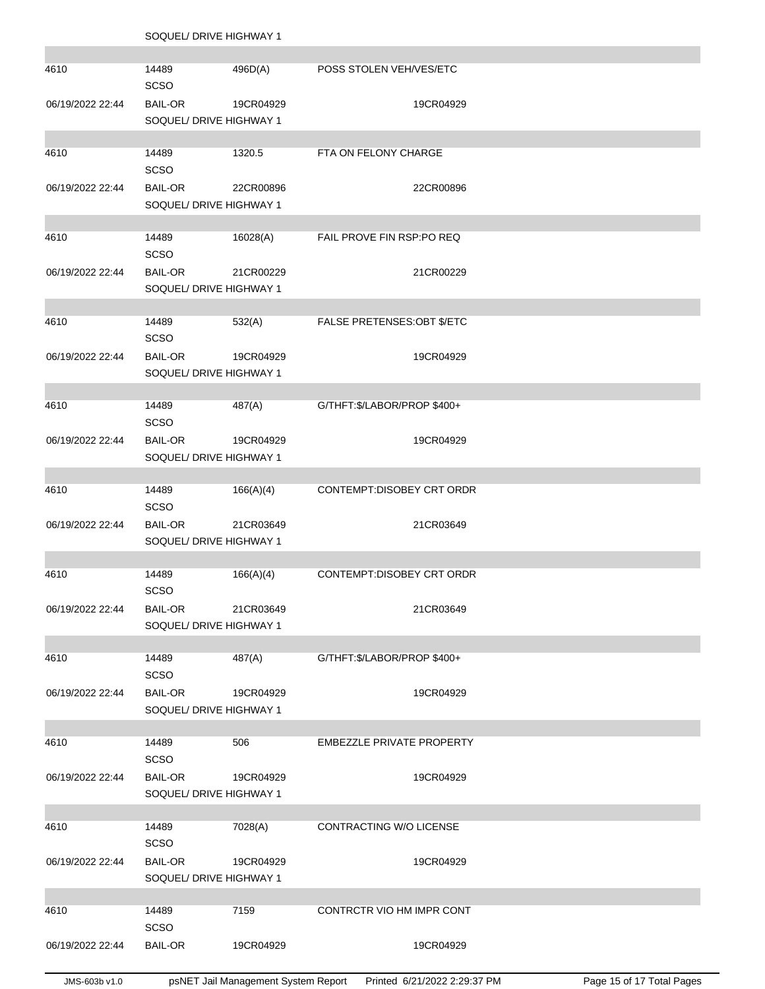SOQUEL/ DRIVE HIGHWAY 1

÷

| 4610             | 14489<br>SCSO                             | 496D(A)   | POSS STOLEN VEH/VES/ETC      |
|------------------|-------------------------------------------|-----------|------------------------------|
| 06/19/2022 22:44 | <b>BAIL-OR</b><br>SOQUEL/ DRIVE HIGHWAY 1 | 19CR04929 | 19CR04929                    |
|                  |                                           |           |                              |
| 4610             | 14489<br><b>SCSO</b>                      | 1320.5    | FTA ON FELONY CHARGE         |
| 06/19/2022 22:44 | <b>BAIL-OR</b><br>SOQUEL/ DRIVE HIGHWAY 1 | 22CR00896 | 22CR00896                    |
|                  |                                           |           |                              |
| 4610             | 14489<br><b>SCSO</b>                      | 16028(A)  | FAIL PROVE FIN RSP:PO REQ    |
| 06/19/2022 22:44 | <b>BAIL-OR</b><br>SOQUEL/ DRIVE HIGHWAY 1 | 21CR00229 | 21CR00229                    |
|                  |                                           |           |                              |
| 4610             | 14489<br>SCSO                             | 532(A)    | FALSE PRETENSES: OBT \$/ETC  |
| 06/19/2022 22:44 | <b>BAIL-OR</b>                            | 19CR04929 | 19CR04929                    |
|                  | SOQUEL/ DRIVE HIGHWAY 1                   |           |                              |
|                  |                                           |           |                              |
| 4610             | 14489<br>SCSO                             | 487(A)    | G/THFT: \$/LABOR/PROP \$400+ |
| 06/19/2022 22:44 | <b>BAIL-OR</b>                            | 19CR04929 | 19CR04929                    |
|                  | SOQUEL/ DRIVE HIGHWAY 1                   |           |                              |
| 4610             | 14489                                     | 166(A)(4) | CONTEMPT:DISOBEY CRT ORDR    |
|                  | SCSO                                      |           |                              |
| 06/19/2022 22:44 | <b>BAIL-OR</b><br>SOQUEL/ DRIVE HIGHWAY 1 | 21CR03649 | 21CR03649                    |
| 4610             | 14489                                     | 166(A)(4) | CONTEMPT:DISOBEY CRT ORDR    |
|                  | <b>SCSO</b>                               |           |                              |
| 06/19/2022 22:44 | <b>BAIL-OR</b>                            | 21CR03649 | 21CR03649                    |
|                  | SOQUEL/ DRIVE HIGHWAY 1                   |           |                              |
|                  |                                           |           |                              |
| 4610             | 14489<br>SCSO                             | 487(A)    | G/THFT: \$/LABOR/PROP \$400+ |
| 06/19/2022 22:44 | <b>BAIL-OR</b>                            | 19CR04929 | 19CR04929                    |
|                  | SOQUEL/ DRIVE HIGHWAY 1                   |           |                              |
| 4610             | 14489                                     | 506       | EMBEZZLE PRIVATE PROPERTY    |
|                  | SCSO                                      |           |                              |
| 06/19/2022 22:44 | <b>BAIL-OR</b>                            | 19CR04929 | 19CR04929                    |
|                  | SOQUEL/ DRIVE HIGHWAY 1                   |           |                              |
|                  |                                           |           |                              |
| 4610             | 14489<br>SCSO                             | 7028(A)   | CONTRACTING W/O LICENSE      |
| 06/19/2022 22:44 | <b>BAIL-OR</b><br>SOQUEL/ DRIVE HIGHWAY 1 | 19CR04929 | 19CR04929                    |
|                  |                                           |           |                              |
| 4610             | 14489                                     | 7159      | CONTRCTR VIO HM IMPR CONT    |
|                  | <b>SCSO</b>                               |           |                              |
| 06/19/2022 22:44 | <b>BAIL-OR</b>                            | 19CR04929 | 19CR04929                    |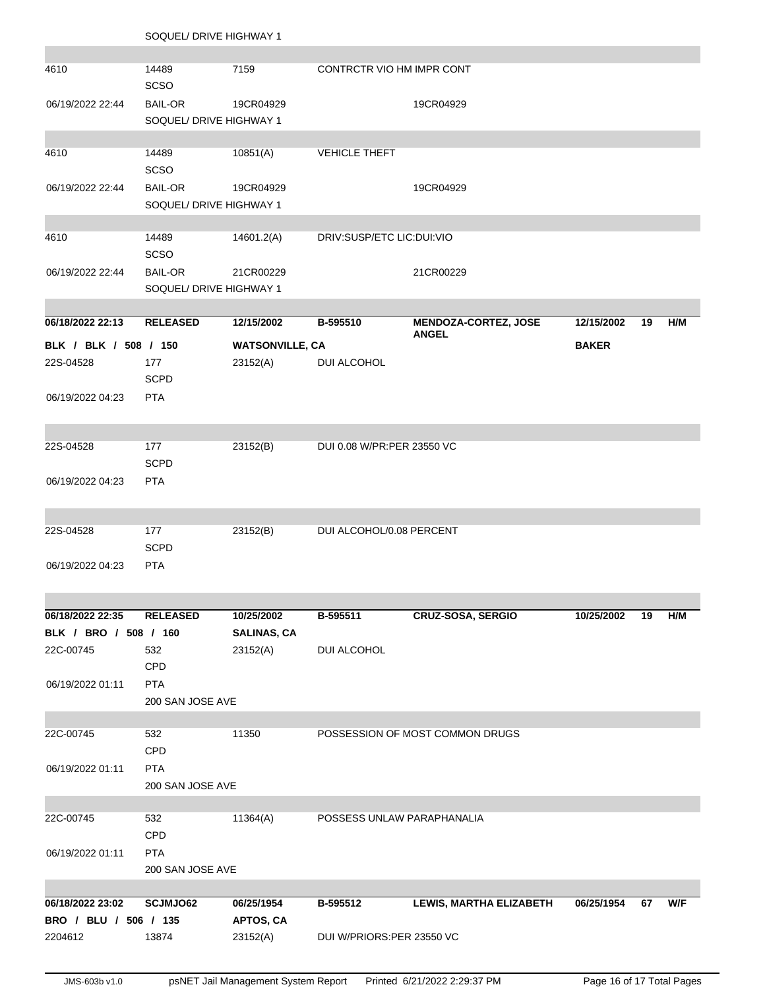| 4610                  | 14489<br><b>SCSO</b>                      | 7159                   | CONTRCTR VIO HM IMPR CONT  |                                             |              |    |     |
|-----------------------|-------------------------------------------|------------------------|----------------------------|---------------------------------------------|--------------|----|-----|
|                       |                                           |                        |                            |                                             |              |    |     |
| 06/19/2022 22:44      | <b>BAIL-OR</b><br>SOQUEL/ DRIVE HIGHWAY 1 | 19CR04929              |                            | 19CR04929                                   |              |    |     |
|                       |                                           |                        |                            |                                             |              |    |     |
| 4610                  | 14489                                     | 10851(A)               | <b>VEHICLE THEFT</b>       |                                             |              |    |     |
|                       | <b>SCSO</b>                               |                        |                            |                                             |              |    |     |
| 06/19/2022 22:44      | <b>BAIL-OR</b>                            | 19CR04929              |                            | 19CR04929                                   |              |    |     |
|                       | SOQUEL/ DRIVE HIGHWAY 1                   |                        |                            |                                             |              |    |     |
|                       |                                           |                        |                            |                                             |              |    |     |
| 4610                  | 14489                                     | 14601.2(A)             | DRIV:SUSP/ETC LIC:DUI:VIO  |                                             |              |    |     |
|                       | <b>SCSO</b>                               |                        |                            |                                             |              |    |     |
| 06/19/2022 22:44      | <b>BAIL-OR</b>                            | 21CR00229              |                            | 21CR00229                                   |              |    |     |
|                       | SOQUEL/ DRIVE HIGHWAY 1                   |                        |                            |                                             |              |    |     |
|                       |                                           |                        |                            |                                             |              |    |     |
| 06/18/2022 22:13      | <b>RELEASED</b>                           | 12/15/2002             | B-595510                   | <b>MENDOZA-CORTEZ, JOSE</b><br><b>ANGEL</b> | 12/15/2002   | 19 | H/M |
| BLK / BLK / 508 / 150 |                                           | <b>WATSONVILLE, CA</b> |                            |                                             | <b>BAKER</b> |    |     |
| 22S-04528             | 177                                       | 23152(A)               | DUI ALCOHOL                |                                             |              |    |     |
|                       | <b>SCPD</b>                               |                        |                            |                                             |              |    |     |
| 06/19/2022 04:23      | <b>PTA</b>                                |                        |                            |                                             |              |    |     |
|                       |                                           |                        |                            |                                             |              |    |     |
|                       |                                           |                        |                            |                                             |              |    |     |
| 22S-04528             | 177                                       | 23152(B)               | DUI 0.08 W/PR:PER 23550 VC |                                             |              |    |     |
|                       | <b>SCPD</b>                               |                        |                            |                                             |              |    |     |
| 06/19/2022 04:23      | <b>PTA</b>                                |                        |                            |                                             |              |    |     |
|                       |                                           |                        |                            |                                             |              |    |     |
|                       |                                           |                        | DUI ALCOHOL/0.08 PERCENT   |                                             |              |    |     |
| 22S-04528             | 177<br><b>SCPD</b>                        | 23152(B)               |                            |                                             |              |    |     |
| 06/19/2022 04:23      | <b>PTA</b>                                |                        |                            |                                             |              |    |     |
|                       |                                           |                        |                            |                                             |              |    |     |
|                       |                                           |                        |                            |                                             |              |    |     |
| 06/18/2022 22:35      | <b>RELEASED</b>                           | 10/25/2002             | B-595511                   | <b>CRUZ-SOSA, SERGIO</b>                    | 10/25/2002   | 19 | H/M |
| BLK / BRO / 508 / 160 |                                           | <b>SALINAS, CA</b>     |                            |                                             |              |    |     |
| 22C-00745             | 532                                       | 23152(A)               | DUI ALCOHOL                |                                             |              |    |     |
|                       | CPD                                       |                        |                            |                                             |              |    |     |
| 06/19/2022 01:11      | <b>PTA</b>                                |                        |                            |                                             |              |    |     |
|                       | 200 SAN JOSE AVE                          |                        |                            |                                             |              |    |     |
|                       |                                           |                        |                            |                                             |              |    |     |
| 22C-00745             | 532                                       | 11350                  |                            | POSSESSION OF MOST COMMON DRUGS             |              |    |     |
|                       | CPD                                       |                        |                            |                                             |              |    |     |
| 06/19/2022 01:11      | <b>PTA</b>                                |                        |                            |                                             |              |    |     |
|                       | 200 SAN JOSE AVE                          |                        |                            |                                             |              |    |     |
|                       |                                           |                        |                            |                                             |              |    |     |
| 22C-00745             | 532                                       | 11364(A)               | POSSESS UNLAW PARAPHANALIA |                                             |              |    |     |
|                       | CPD                                       |                        |                            |                                             |              |    |     |
| 06/19/2022 01:11      | <b>PTA</b>                                |                        |                            |                                             |              |    |     |
|                       | 200 SAN JOSE AVE                          |                        |                            |                                             |              |    |     |
| 06/18/2022 23:02      | SCJMJO62                                  | 06/25/1954             | B-595512                   | <b>LEWIS, MARTHA ELIZABETH</b>              | 06/25/1954   | 67 | W/F |
| BRO / BLU / 506 / 135 |                                           | APTOS, CA              |                            |                                             |              |    |     |
| 2204612               | 13874                                     | 23152(A)               | DUI W/PRIORS:PER 23550 VC  |                                             |              |    |     |
|                       |                                           |                        |                            |                                             |              |    |     |